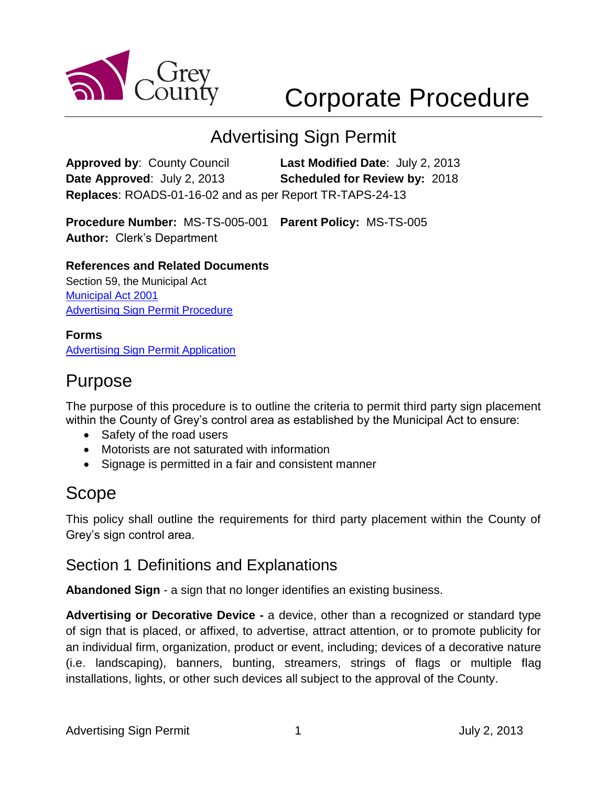

# Corporate Procedure

# Advertising Sign Permit

**Approved by**: County Council **Last Modified Date**: July 2, 2013 **Date Approved**: July 2, 2013 **Scheduled for Review by:** 2018 **Replaces**: ROADS-01-16-02 and as per Report TR-TAPS-24-13

**Procedure Number:** MS-TS-005-001 **Parent Policy:** MS-TS-005 **Author:** Clerk's Department

### **References and Related Documents**

Section 59, the Municipal Act [Municipal Act 2001](http://www.e-laws.gov.on.ca/html/statutes/english/elaws_statutes_01m25_e.htm) [Advertising Sign Permit Procedure](https://greydocs.ca/urm/idcplg?IdcService=GET_FILE&dDocName=GC_103954&RevisionSelectionMethod=LatestReleased&Rendition=Web)

#### **Forms** [Advertising Sign Permit Application](https://greydocs.ca/urm/idcplg?IdcService=GET_FILE&dDocName=GC_104038&RevisionSelectionMethod=LatestReleased&Rendition=Web)

# Purpose

The purpose of this procedure is to outline the criteria to permit third party sign placement within the County of Grey's control area as established by the Municipal Act to ensure:

- Safety of the road users
- Motorists are not saturated with information
- Signage is permitted in a fair and consistent manner

# Scope

This policy shall outline the requirements for third party placement within the County of Grey's sign control area.

### Section 1 Definitions and Explanations

**Abandoned Sign** - a sign that no longer identifies an existing business.

**Advertising or Decorative Device -** a device, other than a recognized or standard type of sign that is placed, or affixed, to advertise, attract attention, or to promote publicity for an individual firm, organization, product or event, including; devices of a decorative nature (i.e. landscaping), banners, bunting, streamers, strings of flags or multiple flag installations, lights, or other such devices all subject to the approval of the County.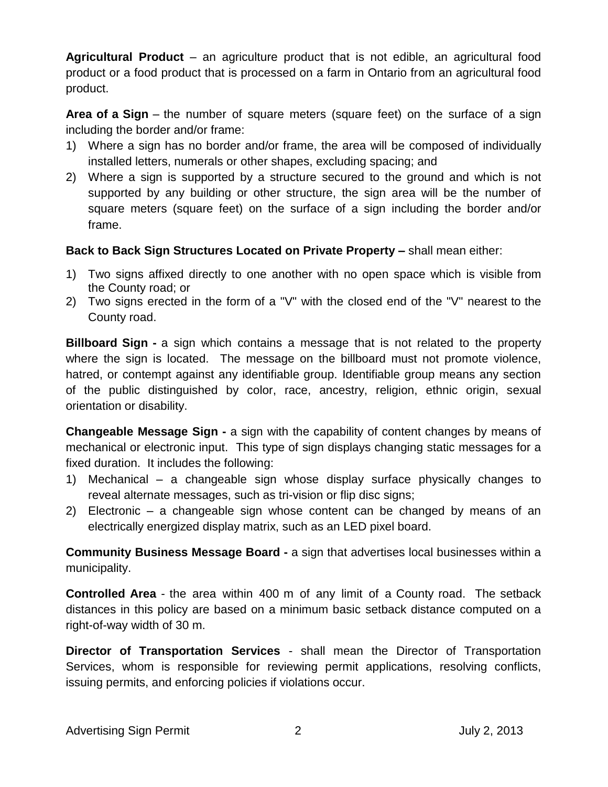**Agricultural Product** – an agriculture product that is not edible, an agricultural food product or a food product that is processed on a farm in Ontario from an agricultural food product.

**Area of a Sign** – the number of square meters (square feet) on the surface of a sign including the border and/or frame:

- 1) Where a sign has no border and/or frame, the area will be composed of individually installed letters, numerals or other shapes, excluding spacing; and
- 2) Where a sign is supported by a structure secured to the ground and which is not supported by any building or other structure, the sign area will be the number of square meters (square feet) on the surface of a sign including the border and/or frame.

### **Back to Back Sign Structures Located on Private Property –** shall mean either:

- 1) Two signs affixed directly to one another with no open space which is visible from the County road; or
- 2) Two signs erected in the form of a "V" with the closed end of the "V" nearest to the County road.

**Billboard Sign -** a sign which contains a message that is not related to the property where the sign is located. The message on the billboard must not promote violence, hatred, or contempt against any identifiable group. Identifiable group means any section of the public distinguished by color, race, ancestry, religion, ethnic origin, sexual orientation or disability.

**Changeable Message Sign -** a sign with the capability of content changes by means of mechanical or electronic input. This type of sign displays changing static messages for a fixed duration. It includes the following:

- 1) Mechanical a changeable sign whose display surface physically changes to reveal alternate messages, such as tri-vision or flip disc signs;
- 2) Electronic a changeable sign whose content can be changed by means of an electrically energized display matrix, such as an LED pixel board.

**Community Business Message Board -** a sign that advertises local businesses within a municipality.

**Controlled Area** - the area within 400 m of any limit of a County road. The setback distances in this policy are based on a minimum basic setback distance computed on a right-of-way width of 30 m.

**Director of Transportation Services** - shall mean the Director of Transportation Services, whom is responsible for reviewing permit applications, resolving conflicts, issuing permits, and enforcing policies if violations occur.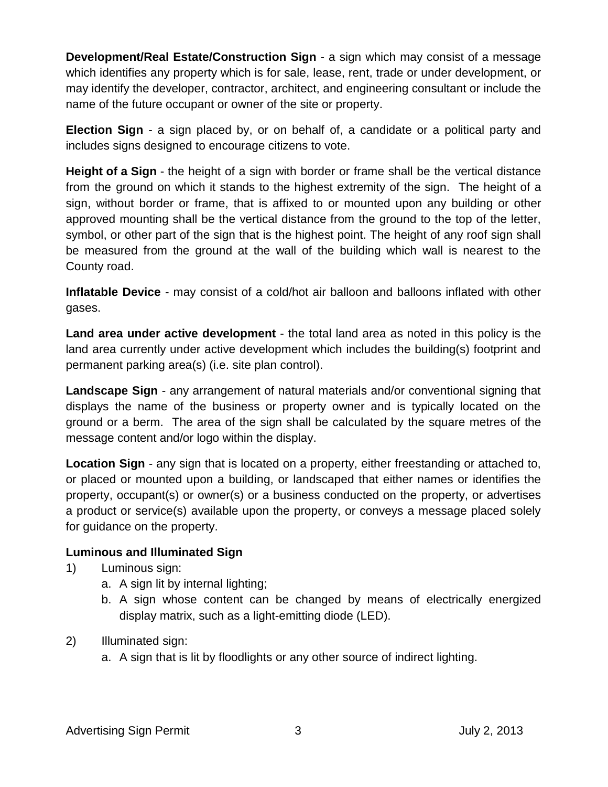**Development/Real Estate/Construction Sign** - a sign which may consist of a message which identifies any property which is for sale, lease, rent, trade or under development, or may identify the developer, contractor, architect, and engineering consultant or include the name of the future occupant or owner of the site or property.

**Election Sign** - a sign placed by, or on behalf of, a candidate or a political party and includes signs designed to encourage citizens to vote.

**Height of a Sign** - the height of a sign with border or frame shall be the vertical distance from the ground on which it stands to the highest extremity of the sign. The height of a sign, without border or frame, that is affixed to or mounted upon any building or other approved mounting shall be the vertical distance from the ground to the top of the letter, symbol, or other part of the sign that is the highest point. The height of any roof sign shall be measured from the ground at the wall of the building which wall is nearest to the County road.

**Inflatable Device** - may consist of a cold/hot air balloon and balloons inflated with other gases.

**Land area under active development** - the total land area as noted in this policy is the land area currently under active development which includes the building(s) footprint and permanent parking area(s) (i.e. site plan control).

**Landscape Sign** - any arrangement of natural materials and/or conventional signing that displays the name of the business or property owner and is typically located on the ground or a berm. The area of the sign shall be calculated by the square metres of the message content and/or logo within the display.

**Location Sign** - any sign that is located on a property, either freestanding or attached to, or placed or mounted upon a building, or landscaped that either names or identifies the property, occupant(s) or owner(s) or a business conducted on the property, or advertises a product or service(s) available upon the property, or conveys a message placed solely for guidance on the property.

### **Luminous and Illuminated Sign**

- 1) Luminous sign:
	- a. A sign lit by internal lighting;
	- b. A sign whose content can be changed by means of electrically energized display matrix, such as a light-emitting diode (LED).
- 2) Illuminated sign:
	- a. A sign that is lit by floodlights or any other source of indirect lighting.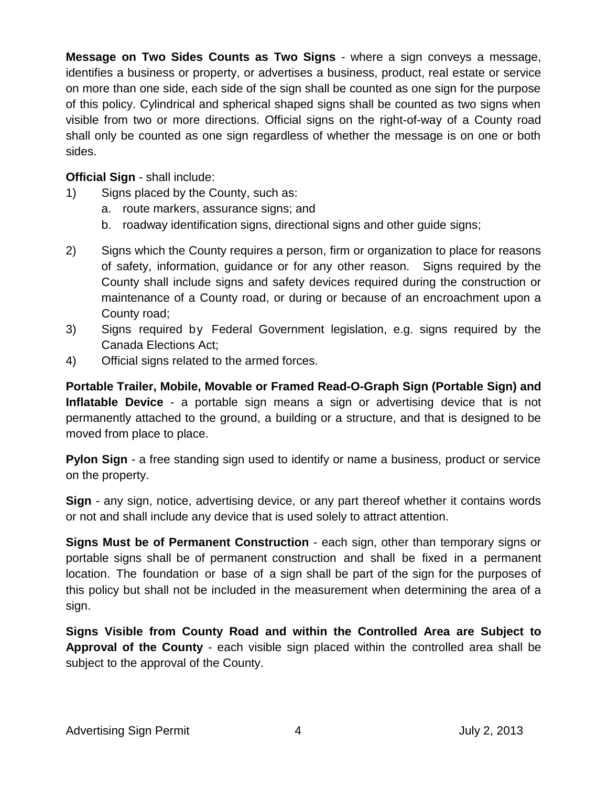**Message on Two Sides Counts as Two Signs** - where a sign conveys a message, identifies a business or property, or advertises a business, product, real estate or service on more than one side, each side of the sign shall be counted as one sign for the purpose of this policy. Cylindrical and spherical shaped signs shall be counted as two signs when visible from two or more directions. Official signs on the right-of-way of a County road shall only be counted as one sign regardless of whether the message is on one or both sides.

**Official Sign** - shall include:

- 1) Signs placed by the County, such as:
	- a. route markers, assurance signs; and
	- b. roadway identification signs, directional signs and other guide signs;
- 2) Signs which the County requires a person, firm or organization to place for reasons of safety, information, guidance or for any other reason. Signs required by the County shall include signs and safety devices required during the construction or maintenance of a County road, or during or because of an encroachment upon a County road;
- 3) Signs required by Federal Government legislation, e.g. signs required by the Canada Elections Act;
- 4) Official signs related to the armed forces.

**Portable Trailer, Mobile, Movable or Framed Read-O-Graph Sign (Portable Sign) and Inflatable Device** - a portable sign means a sign or advertising device that is not permanently attached to the ground, a building or a structure, and that is designed to be moved from place to place.

**Pylon Sign** - a free standing sign used to identify or name a business, product or service on the property.

**Sign** - any sign, notice, advertising device, or any part thereof whether it contains words or not and shall include any device that is used solely to attract attention.

**Signs Must be of Permanent Construction** - each sign, other than temporary signs or portable signs shall be of permanent construction and shall be fixed in a permanent location. The foundation or base of a sign shall be part of the sign for the purposes of this policy but shall not be included in the measurement when determining the area of a sign.

**Signs Visible from County Road and within the Controlled Area are Subject to Approval of the County** - each visible sign placed within the controlled area shall be subject to the approval of the County.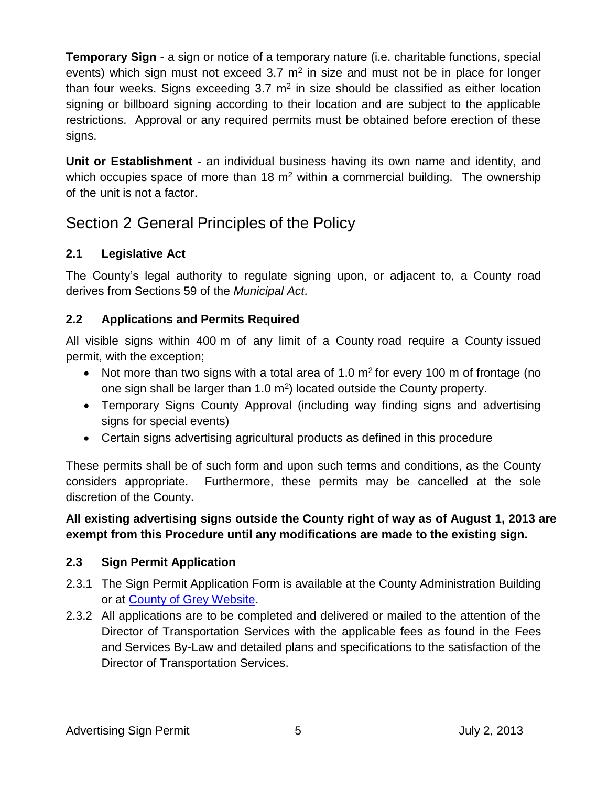**Temporary Sign** - a sign or notice of a temporary nature (i.e. charitable functions, special events) which sign must not exceed  $3.7 \text{ m}^2$  in size and must not be in place for longer than four weeks. Signs exceeding  $3.7 \text{ m}^2$  in size should be classified as either location signing or billboard signing according to their location and are subject to the applicable restrictions. Approval or any required permits must be obtained before erection of these signs.

**Unit or Establishment** - an individual business having its own name and identity, and which occupies space of more than  $18 \text{ m}^2$  within a commercial building. The ownership of the unit is not a factor.

## Section 2 General Principles of the Policy

### **2.1 Legislative Act**

The County's legal authority to regulate signing upon, or adjacent to, a County road derives from Sections 59 of the *Municipal Act*.

### **2.2 Applications and Permits Required**

All visible signs within 400 m of any limit of a County road require a County issued permit, with the exception;

- Not more than two signs with a total area of 1.0  $m<sup>2</sup>$  for every 100 m of frontage (no one sign shall be larger than  $1.0 \text{ m}^2$ ) located outside the County property.
- Temporary Signs County Approval (including way finding signs and advertising signs for special events)
- Certain signs advertising agricultural products as defined in this procedure

These permits shall be of such form and upon such terms and conditions, as the County considers appropriate. Furthermore, these permits may be cancelled at the sole discretion of the County.

### **All existing advertising signs outside the County right of way as of August 1, 2013 are exempt from this Procedure until any modifications are made to the existing sign.**

### **2.3 Sign Permit Application**

- 2.3.1 The Sign Permit Application Form is available at the County Administration Building or at [County of Grey Website.](http://www.grey.ca/)
- 2.3.2 All applications are to be completed and delivered or mailed to the attention of the Director of Transportation Services with the applicable fees as found in the Fees and Services By-Law and detailed plans and specifications to the satisfaction of the Director of Transportation Services.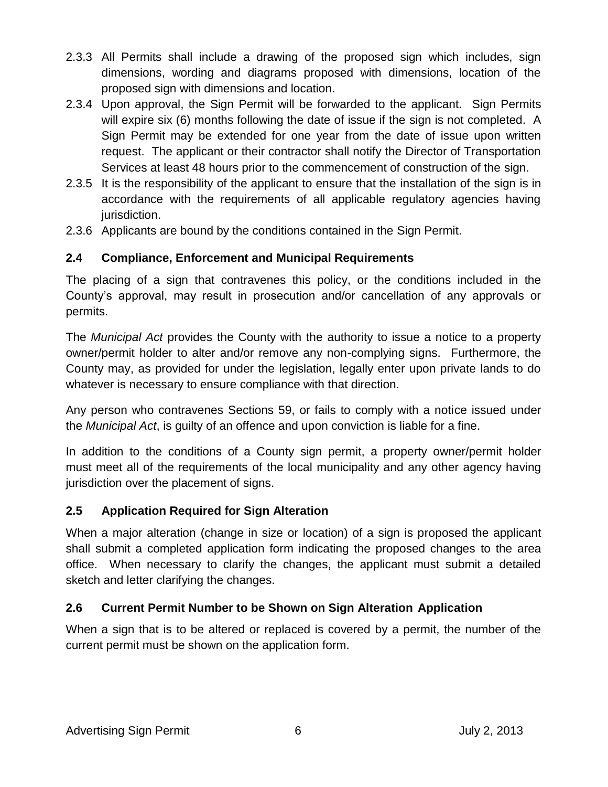- 2.3.3 All Permits shall include a drawing of the proposed sign which includes, sign dimensions, wording and diagrams proposed with dimensions, location of the proposed sign with dimensions and location.
- 2.3.4 Upon approval, the Sign Permit will be forwarded to the applicant. Sign Permits will expire six (6) months following the date of issue if the sign is not completed. A Sign Permit may be extended for one year from the date of issue upon written request. The applicant or their contractor shall notify the Director of Transportation Services at least 48 hours prior to the commencement of construction of the sign.
- 2.3.5 It is the responsibility of the applicant to ensure that the installation of the sign is in accordance with the requirements of all applicable regulatory agencies having jurisdiction.
- 2.3.6 Applicants are bound by the conditions contained in the Sign Permit.

### **2.4 Compliance, Enforcement and Municipal Requirements**

The placing of a sign that contravenes this policy, or the conditions included in the County's approval, may result in prosecution and/or cancellation of any approvals or permits.

The *Municipal Act* provides the County with the authority to issue a notice to a property owner/permit holder to alter and/or remove any non-complying signs. Furthermore, the County may, as provided for under the legislation, legally enter upon private lands to do whatever is necessary to ensure compliance with that direction.

Any person who contravenes Sections 59, or fails to comply with a notice issued under the *Municipal Act*, is guilty of an offence and upon conviction is liable for a fine.

In addition to the conditions of a County sign permit, a property owner/permit holder must meet all of the requirements of the local municipality and any other agency having jurisdiction over the placement of signs.

### **2.5 Application Required for Sign Alteration**

When a major alteration (change in size or location) of a sign is proposed the applicant shall submit a completed application form indicating the proposed changes to the area office. When necessary to clarify the changes, the applicant must submit a detailed sketch and letter clarifying the changes.

### **2.6 Current Permit Number to be Shown on Sign Alteration Application**

When a sign that is to be altered or replaced is covered by a permit, the number of the current permit must be shown on the application form.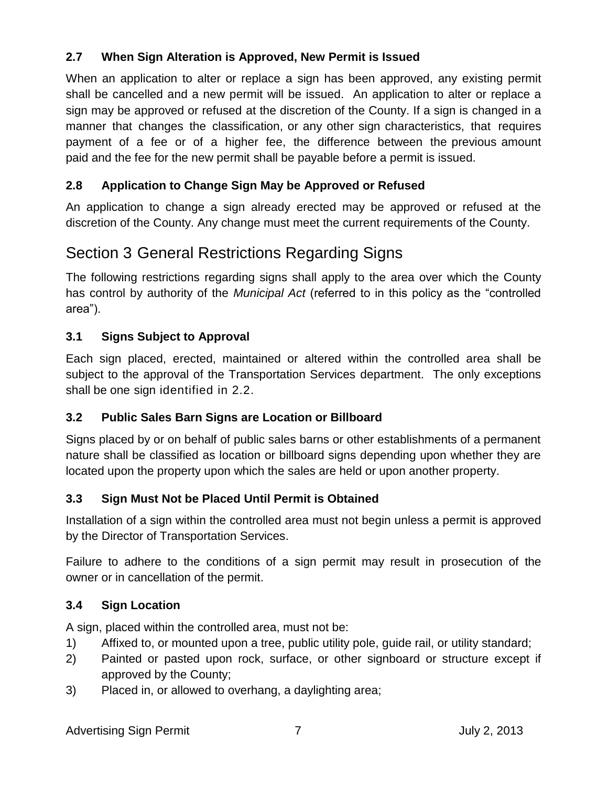### **2.7 When Sign Alteration is Approved, New Permit is Issued**

When an application to alter or replace a sign has been approved, any existing permit shall be cancelled and a new permit will be issued. An application to alter or replace a sign may be approved or refused at the discretion of the County. If a sign is changed in a manner that changes the classification, or any other sign characteristics, that requires payment of a fee or of a higher fee, the difference between the previous amount paid and the fee for the new permit shall be payable before a permit is issued.

### **2.8 Application to Change Sign May be Approved or Refused**

An application to change a sign already erected may be approved or refused at the discretion of the County. Any change must meet the current requirements of the County.

# Section 3 General Restrictions Regarding Signs

The following restrictions regarding signs shall apply to the area over which the County has control by authority of the *Municipal Act* (referred to in this policy as the "controlled area").

### **3.1 Signs Subject to Approval**

Each sign placed, erected, maintained or altered within the controlled area shall be subject to the approval of the Transportation Services department. The only exceptions shall be one sign identified in 2.2.

### **3.2 Public Sales Barn Signs are Location or Billboard**

Signs placed by or on behalf of public sales barns or other establishments of a permanent nature shall be classified as location or billboard signs depending upon whether they are located upon the property upon which the sales are held or upon another property.

### **3.3 Sign Must Not be Placed Until Permit is Obtained**

Installation of a sign within the controlled area must not begin unless a permit is approved by the Director of Transportation Services.

Failure to adhere to the conditions of a sign permit may result in prosecution of the owner or in cancellation of the permit.

### **3.4 Sign Location**

A sign, placed within the controlled area, must not be:

- 1) Affixed to, or mounted upon a tree, public utility pole, guide rail, or utility standard;
- 2) Painted or pasted upon rock, surface, or other signboard or structure except if approved by the County;
- 3) Placed in, or allowed to overhang, a daylighting area;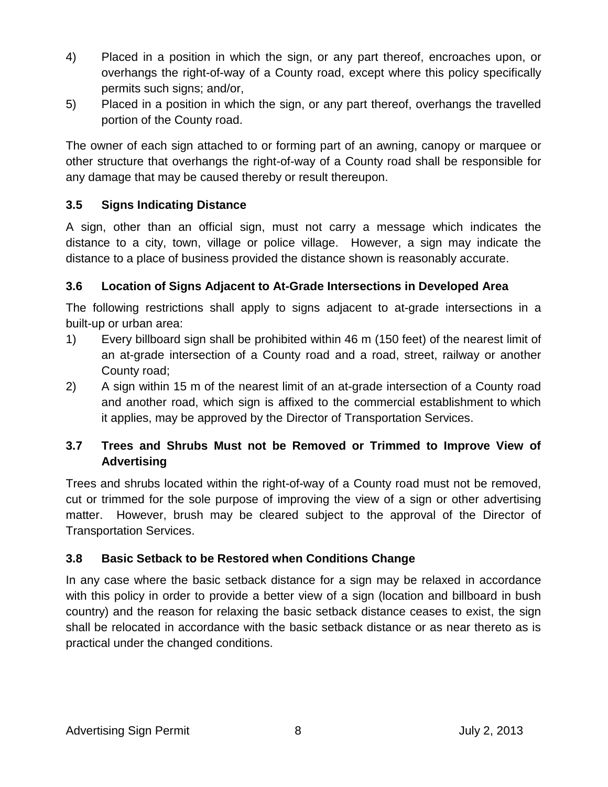- 4) Placed in a position in which the sign, or any part thereof, encroaches upon, or overhangs the right-of-way of a County road, except where this policy specifically permits such signs; and/or,
- 5) Placed in a position in which the sign, or any part thereof, overhangs the travelled portion of the County road.

The owner of each sign attached to or forming part of an awning, canopy or marquee or other structure that overhangs the right-of-way of a County road shall be responsible for any damage that may be caused thereby or result thereupon.

### **3.5 Signs Indicating Distance**

A sign, other than an official sign, must not carry a message which indicates the distance to a city, town, village or police village. However, a sign may indicate the distance to a place of business provided the distance shown is reasonably accurate.

### **3.6 Location of Signs Adjacent to At-Grade Intersections in Developed Area**

The following restrictions shall apply to signs adjacent to at-grade intersections in a built-up or urban area:

- 1) Every billboard sign shall be prohibited within 46 m (150 feet) of the nearest limit of an at-grade intersection of a County road and a road, street, railway or another County road;
- 2) A sign within 15 m of the nearest limit of an at-grade intersection of a County road and another road, which sign is affixed to the commercial establishment to which it applies, may be approved by the Director of Transportation Services.

### **3.7 Trees and Shrubs Must not be Removed or Trimmed to Improve View of Advertising**

Trees and shrubs located within the right-of-way of a County road must not be removed, cut or trimmed for the sole purpose of improving the view of a sign or other advertising matter. However, brush may be cleared subject to the approval of the Director of Transportation Services.

### **3.8 Basic Setback to be Restored when Conditions Change**

In any case where the basic setback distance for a sign may be relaxed in accordance with this policy in order to provide a better view of a sign (location and billboard in bush country) and the reason for relaxing the basic setback distance ceases to exist, the sign shall be relocated in accordance with the basic setback distance or as near thereto as is practical under the changed conditions.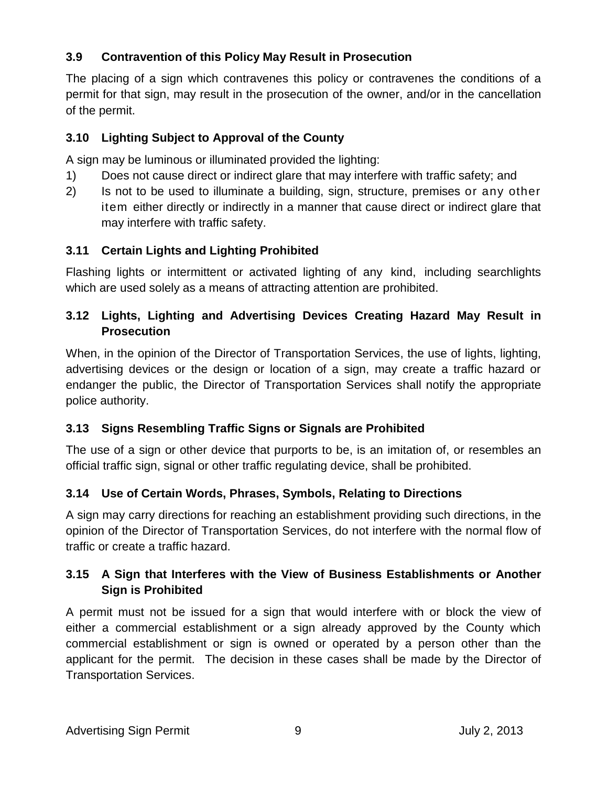### **3.9 Contravention of this Policy May Result in Prosecution**

The placing of a sign which contravenes this policy or contravenes the conditions of a permit for that sign, may result in the prosecution of the owner, and/or in the cancellation of the permit.

### **3.10 Lighting Subject to Approval of the County**

A sign may be luminous or illuminated provided the lighting:

- 1) Does not cause direct or indirect glare that may interfere with traffic safety; and
- 2) Is not to be used to illuminate a building, sign, structure, premises or any other item either directly or indirectly in a manner that cause direct or indirect glare that may interfere with traffic safety.

### **3.11 Certain Lights and Lighting Prohibited**

Flashing lights or intermittent or activated lighting of any kind, including searchlights which are used solely as a means of attracting attention are prohibited.

### **3.12 Lights, Lighting and Advertising Devices Creating Hazard May Result in Prosecution**

When, in the opinion of the Director of Transportation Services, the use of lights, lighting, advertising devices or the design or location of a sign, may create a traffic hazard or endanger the public, the Director of Transportation Services shall notify the appropriate police authority.

### **3.13 Signs Resembling Traffic Signs or Signals are Prohibited**

The use of a sign or other device that purports to be, is an imitation of, or resembles an official traffic sign, signal or other traffic regulating device, shall be prohibited.

### **3.14 Use of Certain Words, Phrases, Symbols, Relating to Directions**

A sign may carry directions for reaching an establishment providing such directions, in the opinion of the Director of Transportation Services, do not interfere with the normal flow of traffic or create a traffic hazard.

### **3.15 A Sign that Interferes with the View of Business Establishments or Another Sign is Prohibited**

A permit must not be issued for a sign that would interfere with or block the view of either a commercial establishment or a sign already approved by the County which commercial establishment or sign is owned or operated by a person other than the applicant for the permit. The decision in these cases shall be made by the Director of Transportation Services.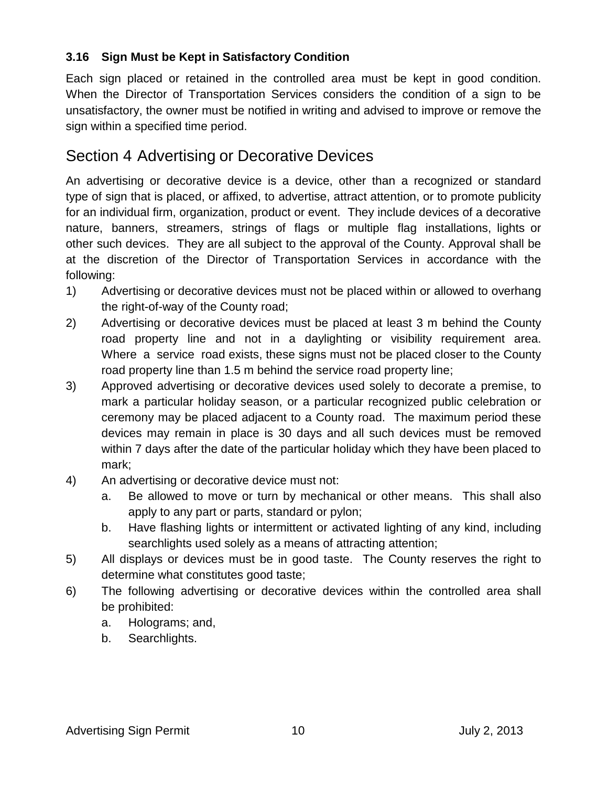### **3.16 Sign Must be Kept in Satisfactory Condition**

Each sign placed or retained in the controlled area must be kept in good condition. When the Director of Transportation Services considers the condition of a sign to be unsatisfactory, the owner must be notified in writing and advised to improve or remove the sign within a specified time period.

### Section 4 Advertising or Decorative Devices

An advertising or decorative device is a device, other than a recognized or standard type of sign that is placed, or affixed, to advertise, attract attention, or to promote publicity for an individual firm, organization, product or event. They include devices of a decorative nature, banners, streamers, strings of flags or multiple flag installations, lights or other such devices. They are all subject to the approval of the County. Approval shall be at the discretion of the Director of Transportation Services in accordance with the following:

- 1) Advertising or decorative devices must not be placed within or allowed to overhang the right-of-way of the County road;
- 2) Advertising or decorative devices must be placed at least 3 m behind the County road property line and not in a daylighting or visibility requirement area. Where a service road exists, these signs must not be placed closer to the County road property line than 1.5 m behind the service road property line;
- 3) Approved advertising or decorative devices used solely to decorate a premise, to mark a particular holiday season, or a particular recognized public celebration or ceremony may be placed adjacent to a County road. The maximum period these devices may remain in place is 30 days and all such devices must be removed within 7 days after the date of the particular holiday which they have been placed to mark;
- 4) An advertising or decorative device must not:
	- a. Be allowed to move or turn by mechanical or other means. This shall also apply to any part or parts, standard or pylon;
	- b. Have flashing lights or intermittent or activated lighting of any kind, including searchlights used solely as a means of attracting attention;
- 5) All displays or devices must be in good taste. The County reserves the right to determine what constitutes good taste;
- 6) The following advertising or decorative devices within the controlled area shall be prohibited:
	- a. Holograms; and,
	- b. Searchlights.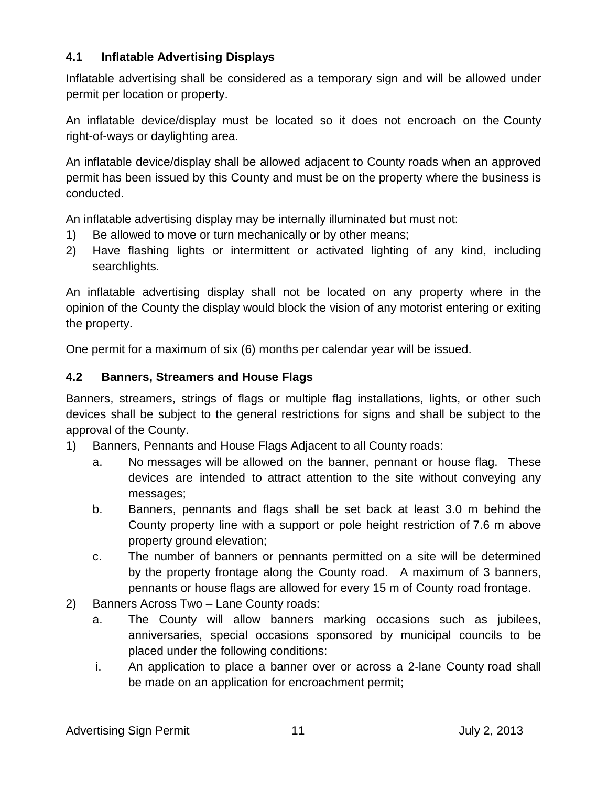### **4.1 Inflatable Advertising Displays**

Inflatable advertising shall be considered as a temporary sign and will be allowed under permit per location or property.

An inflatable device/display must be located so it does not encroach on the County right-of-ways or daylighting area.

An inflatable device/display shall be allowed adjacent to County roads when an approved permit has been issued by this County and must be on the property where the business is conducted.

An inflatable advertising display may be internally illuminated but must not:

- 1) Be allowed to move or turn mechanically or by other means;
- 2) Have flashing lights or intermittent or activated lighting of any kind, including searchlights.

An inflatable advertising display shall not be located on any property where in the opinion of the County the display would block the vision of any motorist entering or exiting the property.

One permit for a maximum of six (6) months per calendar year will be issued.

### **4.2 Banners, Streamers and House Flags**

Banners, streamers, strings of flags or multiple flag installations, lights, or other such devices shall be subject to the general restrictions for signs and shall be subject to the approval of the County.

- 1) Banners, Pennants and House Flags Adjacent to all County roads:
	- a. No messages will be allowed on the banner, pennant or house flag. These devices are intended to attract attention to the site without conveying any messages;
	- b. Banners, pennants and flags shall be set back at least 3.0 m behind the County property line with a support or pole height restriction of 7.6 m above property ground elevation;
	- c. The number of banners or pennants permitted on a site will be determined by the property frontage along the County road. A maximum of 3 banners, pennants or house flags are allowed for every 15 m of County road frontage.
- 2) Banners Across Two Lane County roads:
	- a. The County will allow banners marking occasions such as jubilees, anniversaries, special occasions sponsored by municipal councils to be placed under the following conditions:
	- i. An application to place a banner over or across a 2-lane County road shall be made on an application for encroachment permit;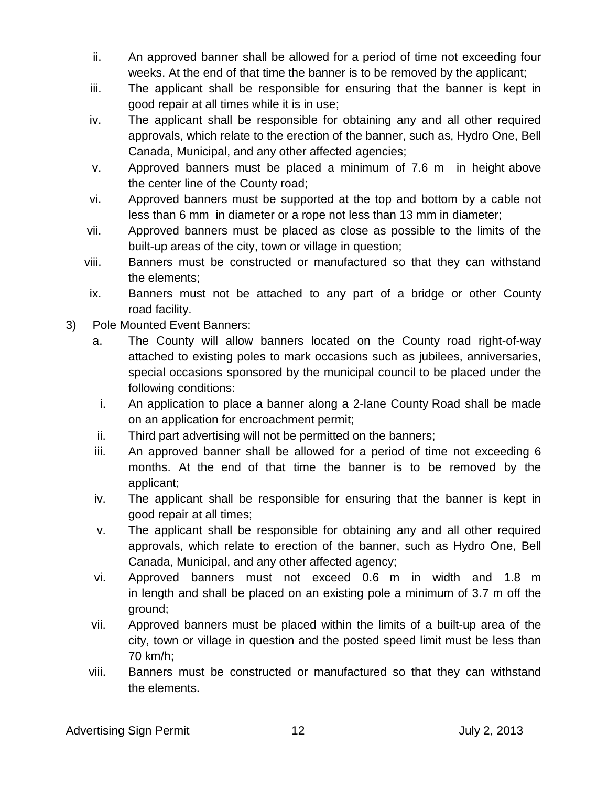- ii. An approved banner shall be allowed for a period of time not exceeding four weeks. At the end of that time the banner is to be removed by the applicant;
- iii. The applicant shall be responsible for ensuring that the banner is kept in good repair at all times while it is in use;
- iv. The applicant shall be responsible for obtaining any and all other required approvals, which relate to the erection of the banner, such as, Hydro One, Bell Canada, Municipal, and any other affected agencies;
- v. Approved banners must be placed a minimum of 7.6 m in height above the center line of the County road;
- vi. Approved banners must be supported at the top and bottom by a cable not less than 6 mm in diameter or a rope not less than 13 mm in diameter;
- vii. Approved banners must be placed as close as possible to the limits of the built-up areas of the city, town or village in question;
- viii. Banners must be constructed or manufactured so that they can withstand the elements;
- ix. Banners must not be attached to any part of a bridge or other County road facility.
- 3) Pole Mounted Event Banners:
	- a. The County will allow banners located on the County road right-of-way attached to existing poles to mark occasions such as jubilees, anniversaries, special occasions sponsored by the municipal council to be placed under the following conditions:
	- i. An application to place a banner along a 2-lane County Road shall be made on an application for encroachment permit;
	- ii. Third part advertising will not be permitted on the banners;
	- iii. An approved banner shall be allowed for a period of time not exceeding 6 months. At the end of that time the banner is to be removed by the applicant;
	- iv. The applicant shall be responsible for ensuring that the banner is kept in good repair at all times;
	- v. The applicant shall be responsible for obtaining any and all other required approvals, which relate to erection of the banner, such as Hydro One, Bell Canada, Municipal, and any other affected agency;
	- vi. Approved banners must not exceed 0.6 m in width and 1.8 m in length and shall be placed on an existing pole a minimum of 3.7 m off the ground;
	- vii. Approved banners must be placed within the limits of a built-up area of the city, town or village in question and the posted speed limit must be less than 70 km/h;
	- viii. Banners must be constructed or manufactured so that they can withstand the elements.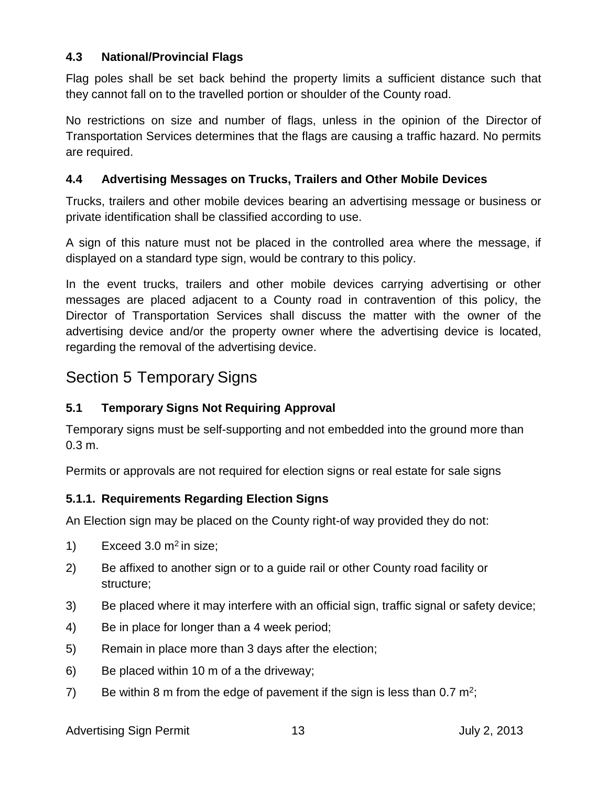### **4.3 National/Provincial Flags**

Flag poles shall be set back behind the property limits a sufficient distance such that they cannot fall on to the travelled portion or shoulder of the County road.

No restrictions on size and number of flags, unless in the opinion of the Director of Transportation Services determines that the flags are causing a traffic hazard. No permits are required.

### **4.4 Advertising Messages on Trucks, Trailers and Other Mobile Devices**

Trucks, trailers and other mobile devices bearing an advertising message or business or private identification shall be classified according to use.

A sign of this nature must not be placed in the controlled area where the message, if displayed on a standard type sign, would be contrary to this policy.

In the event trucks, trailers and other mobile devices carrying advertising or other messages are placed adjacent to a County road in contravention of this policy, the Director of Transportation Services shall discuss the matter with the owner of the advertising device and/or the property owner where the advertising device is located, regarding the removal of the advertising device.

### Section 5 Temporary Signs

### **5.1 Temporary Signs Not Requiring Approval**

Temporary signs must be self-supporting and not embedded into the ground more than 0.3 m.

Permits or approvals are not required for election signs or real estate for sale signs

### **5.1.1. Requirements Regarding Election Signs**

An Election sign may be placed on the County right-of way provided they do not:

- 1) Exceed 3.0  $m<sup>2</sup>$  in size;
- 2) Be affixed to another sign or to a guide rail or other County road facility or structure;
- 3) Be placed where it may interfere with an official sign, traffic signal or safety device;
- 4) Be in place for longer than a 4 week period;
- 5) Remain in place more than 3 days after the election;
- 6) Be placed within 10 m of a the driveway;
- 7) Be within 8 m from the edge of pavement if the sign is less than 0.7  $m^2$ ;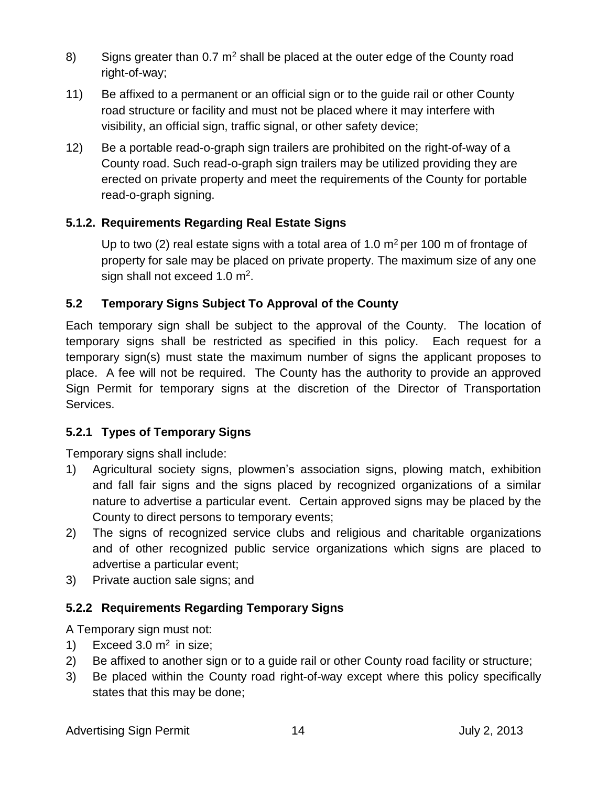- 8) Signs greater than  $0.7 \text{ m}^2$  shall be placed at the outer edge of the County road right-of-way;
- 11) Be affixed to a permanent or an official sign or to the guide rail or other County road structure or facility and must not be placed where it may interfere with visibility, an official sign, traffic signal, or other safety device;
- 12) Be a portable read-o-graph sign trailers are prohibited on the right-of-way of a County road. Such read-o-graph sign trailers may be utilized providing they are erected on private property and meet the requirements of the County for portable read-o-graph signing.

### **5.1.2. Requirements Regarding Real Estate Signs**

Up to two (2) real estate signs with a total area of 1.0  $m<sup>2</sup>$  per 100 m of frontage of property for sale may be placed on private property. The maximum size of any one sign shall not exceed 1.0 m<sup>2</sup>.

### **5.2 Temporary Signs Subject To Approval of the County**

Each temporary sign shall be subject to the approval of the County. The location of temporary signs shall be restricted as specified in this policy. Each request for a temporary sign(s) must state the maximum number of signs the applicant proposes to place. A fee will not be required. The County has the authority to provide an approved Sign Permit for temporary signs at the discretion of the Director of Transportation Services.

### **5.2.1 Types of Temporary Signs**

Temporary signs shall include:

- 1) Agricultural society signs, plowmen's association signs, plowing match, exhibition and fall fair signs and the signs placed by recognized organizations of a similar nature to advertise a particular event. Certain approved signs may be placed by the County to direct persons to temporary events;
- 2) The signs of recognized service clubs and religious and charitable organizations and of other recognized public service organizations which signs are placed to advertise a particular event;
- 3) Private auction sale signs; and

### **5.2.2 Requirements Regarding Temporary Signs**

A Temporary sign must not:

- 1) Exceed 3.0  $m^2$  in size;
- 2) Be affixed to another sign or to a guide rail or other County road facility or structure;
- 3) Be placed within the County road right-of-way except where this policy specifically states that this may be done;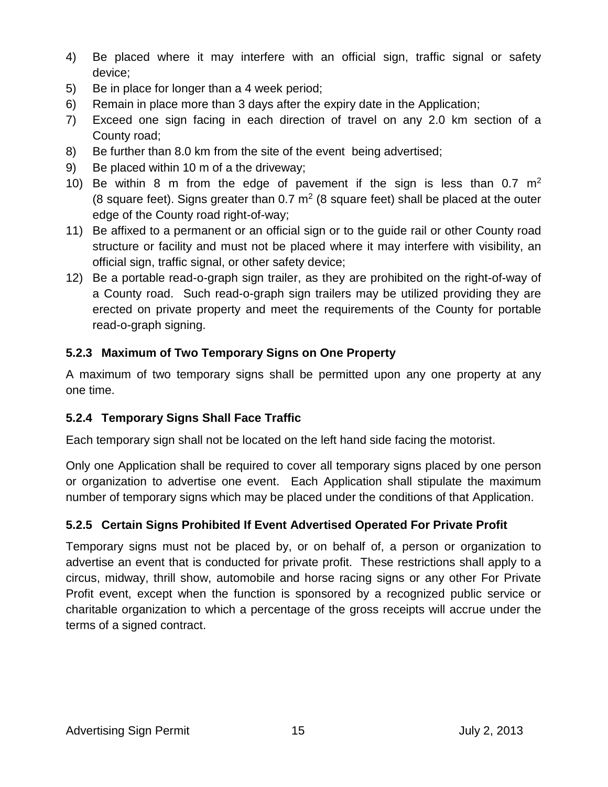- 4) Be placed where it may interfere with an official sign, traffic signal or safety device;
- 5) Be in place for longer than a 4 week period;
- 6) Remain in place more than 3 days after the expiry date in the Application;
- 7) Exceed one sign facing in each direction of travel on any 2.0 km section of a County road;
- 8) Be further than 8.0 km from the site of the event being advertised;
- 9) Be placed within 10 m of a the driveway;
- 10) Be within 8 m from the edge of pavement if the sign is less than 0.7  $m<sup>2</sup>$ (8 square feet). Signs greater than  $0.7 \text{ m}^2$  (8 square feet) shall be placed at the outer edge of the County road right-of-way;
- 11) Be affixed to a permanent or an official sign or to the guide rail or other County road structure or facility and must not be placed where it may interfere with visibility, an official sign, traffic signal, or other safety device;
- 12) Be a portable read-o-graph sign trailer, as they are prohibited on the right-of-way of a County road. Such read-o-graph sign trailers may be utilized providing they are erected on private property and meet the requirements of the County for portable read-o-graph signing.

### **5.2.3 Maximum of Two Temporary Signs on One Property**

A maximum of two temporary signs shall be permitted upon any one property at any one time.

### **5.2.4 Temporary Signs Shall Face Traffic**

Each temporary sign shall not be located on the left hand side facing the motorist.

Only one Application shall be required to cover all temporary signs placed by one person or organization to advertise one event. Each Application shall stipulate the maximum number of temporary signs which may be placed under the conditions of that Application.

### **5.2.5 Certain Signs Prohibited If Event Advertised Operated For Private Profit**

Temporary signs must not be placed by, or on behalf of, a person or organization to advertise an event that is conducted for private profit. These restrictions shall apply to a circus, midway, thrill show, automobile and horse racing signs or any other For Private Profit event, except when the function is sponsored by a recognized public service or charitable organization to which a percentage of the gross receipts will accrue under the terms of a signed contract.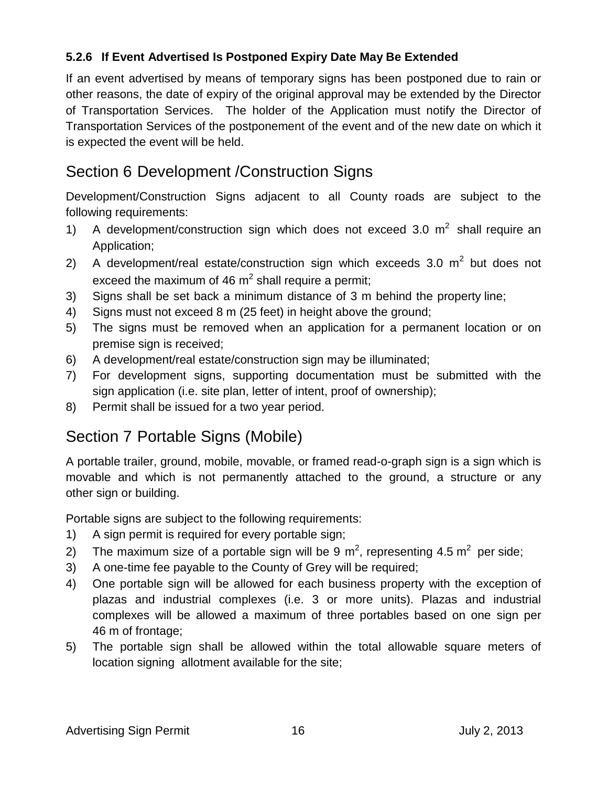### **5.2.6 If Event Advertised Is Postponed Expiry Date May Be Extended**

If an event advertised by means of temporary signs has been postponed due to rain or other reasons, the date of expiry of the original approval may be extended by the Director of Transportation Services. The holder of the Application must notify the Director of Transportation Services of the postponement of the event and of the new date on which it is expected the event will be held.

# Section 6 Development /Construction Signs

Development/Construction Signs adjacent to all County roads are subject to the following requirements:

- 1) A development/construction sign which does not exceed 3.0  $m^2$  shall require an Application;
- 2) A development/real estate/construction sign which exceeds 3.0  $m^2$  but does not exceed the maximum of 46  $m^2$  shall require a permit;
- 3) Signs shall be set back a minimum distance of 3 m behind the property line;
- 4) Signs must not exceed 8 m (25 feet) in height above the ground;
- 5) The signs must be removed when an application for a permanent location or on premise sign is received;
- 6) A development/real estate/construction sign may be illuminated;
- 7) For development signs, supporting documentation must be submitted with the sign application (i.e. site plan, letter of intent, proof of ownership);
- 8) Permit shall be issued for a two year period.

# Section 7 Portable Signs (Mobile)

A portable trailer, ground, mobile, movable, or framed read-o-graph sign is a sign which is movable and which is not permanently attached to the ground, a structure or any other sign or building.

Portable signs are subject to the following requirements:

- 1) A sign permit is required for every portable sign;
- 2) The maximum size of a portable sign will be 9 m<sup>2</sup>, representing 4.5 m<sup>2</sup> per side;
- 3) A one-time fee payable to the County of Grey will be required;
- 4) One portable sign will be allowed for each business property with the exception of plazas and industrial complexes (i.e. 3 or more units). Plazas and industrial complexes will be allowed a maximum of three portables based on one sign per 46 m of frontage;
- 5) The portable sign shall be allowed within the total allowable square meters of location signing allotment available for the site;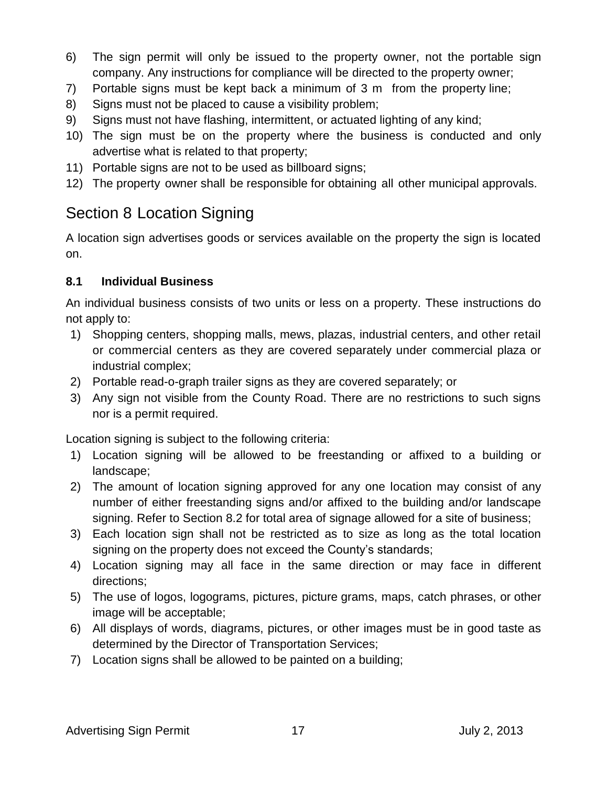- 6) The sign permit will only be issued to the property owner, not the portable sign company. Any instructions for compliance will be directed to the property owner;
- 7) Portable signs must be kept back a minimum of 3 m from the property line;
- 8) Signs must not be placed to cause a visibility problem;
- 9) Signs must not have flashing, intermittent, or actuated lighting of any kind;
- 10) The sign must be on the property where the business is conducted and only advertise what is related to that property;
- 11) Portable signs are not to be used as billboard signs;
- 12) The property owner shall be responsible for obtaining all other municipal approvals.

# Section 8 Location Signing

A location sign advertises goods or services available on the property the sign is located on.

### **8.1 Individual Business**

An individual business consists of two units or less on a property. These instructions do not apply to:

- 1) Shopping centers, shopping malls, mews, plazas, industrial centers, and other retail or commercial centers as they are covered separately under commercial plaza or industrial complex;
- 2) Portable read-o-graph trailer signs as they are covered separately; or
- 3) Any sign not visible from the County Road. There are no restrictions to such signs nor is a permit required.

Location signing is subject to the following criteria:

- 1) Location signing will be allowed to be freestanding or affixed to a building or landscape;
- 2) The amount of location signing approved for any one location may consist of any number of either freestanding signs and/or affixed to the building and/or landscape signing. Refer to Section 8.2 for total area of signage allowed for a site of business;
- 3) Each location sign shall not be restricted as to size as long as the total location signing on the property does not exceed the County's standards;
- 4) Location signing may all face in the same direction or may face in different directions;
- 5) The use of logos, logograms, pictures, picture grams, maps, catch phrases, or other image will be acceptable;
- 6) All displays of words, diagrams, pictures, or other images must be in good taste as determined by the Director of Transportation Services;
- 7) Location signs shall be allowed to be painted on a building;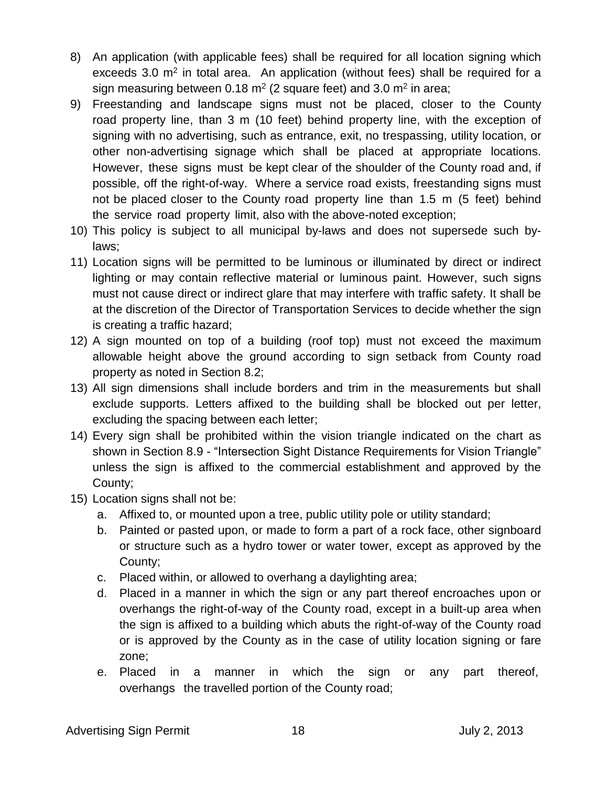- 8) An application (with applicable fees) shall be required for all location signing which exceeds 3.0 m<sup>2</sup> in total area. An application (without fees) shall be required for a sign measuring between 0.18 m<sup>2</sup> (2 square feet) and 3.0 m<sup>2</sup> in area;
- 9) Freestanding and landscape signs must not be placed, closer to the County road property line, than 3 m (10 feet) behind property line, with the exception of signing with no advertising, such as entrance, exit, no trespassing, utility location, or other non-advertising signage which shall be placed at appropriate locations. However, these signs must be kept clear of the shoulder of the County road and, if possible, off the right-of-way. Where a service road exists, freestanding signs must not be placed closer to the County road property line than 1.5 m (5 feet) behind the service road property limit, also with the above-noted exception;
- 10) This policy is subject to all municipal by-laws and does not supersede such bylaws;
- 11) Location signs will be permitted to be luminous or illuminated by direct or indirect lighting or may contain reflective material or luminous paint. However, such signs must not cause direct or indirect glare that may interfere with traffic safety. It shall be at the discretion of the Director of Transportation Services to decide whether the sign is creating a traffic hazard;
- 12) A sign mounted on top of a building (roof top) must not exceed the maximum allowable height above the ground according to sign setback from County road property as noted in Section 8.2;
- 13) All sign dimensions shall include borders and trim in the measurements but shall exclude supports. Letters affixed to the building shall be blocked out per letter, excluding the spacing between each letter;
- 14) Every sign shall be prohibited within the vision triangle indicated on the chart as shown in Section 8.9 - "Intersection Sight Distance Requirements for Vision Triangle" unless the sign is affixed to the commercial establishment and approved by the County;
- 15) Location signs shall not be:
	- a. Affixed to, or mounted upon a tree, public utility pole or utility standard;
	- b. Painted or pasted upon, or made to form a part of a rock face, other signboard or structure such as a hydro tower or water tower, except as approved by the County;
	- c. Placed within, or allowed to overhang a daylighting area;
	- d. Placed in a manner in which the sign or any part thereof encroaches upon or overhangs the right-of-way of the County road, except in a built-up area when the sign is affixed to a building which abuts the right-of-way of the County road or is approved by the County as in the case of utility location signing or fare zone;
	- e. Placed in a manner in which the sign or any part thereof, overhangs the travelled portion of the County road;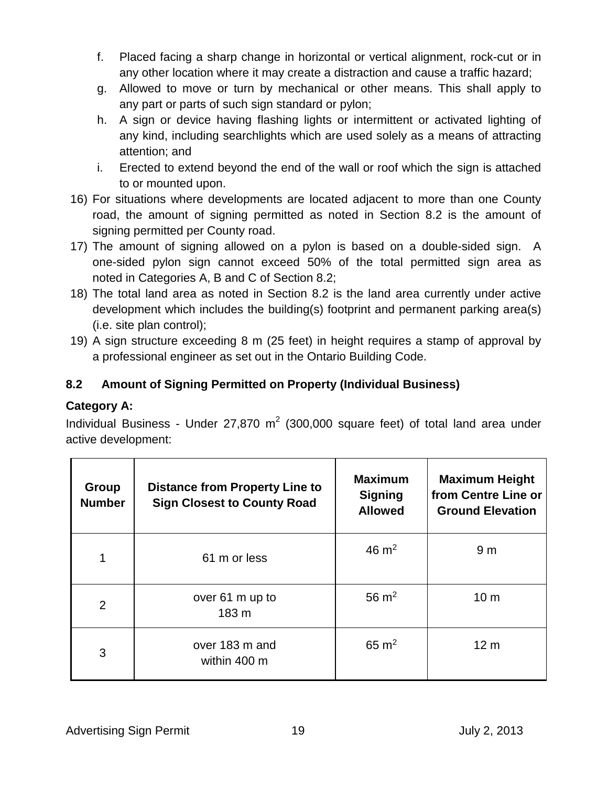- f. Placed facing a sharp change in horizontal or vertical alignment, rock-cut or in any other location where it may create a distraction and cause a traffic hazard;
- g. Allowed to move or turn by mechanical or other means. This shall apply to any part or parts of such sign standard or pylon;
- h. A sign or device having flashing lights or intermittent or activated lighting of any kind, including searchlights which are used solely as a means of attracting attention; and
- i. Erected to extend beyond the end of the wall or roof which the sign is attached to or mounted upon.
- 16) For situations where developments are located adjacent to more than one County road, the amount of signing permitted as noted in Section 8.2 is the amount of signing permitted per County road.
- 17) The amount of signing allowed on a pylon is based on a double-sided sign. A one-sided pylon sign cannot exceed 50% of the total permitted sign area as noted in Categories A, B and C of Section 8.2;
- 18) The total land area as noted in Section 8.2 is the land area currently under active development which includes the building(s) footprint and permanent parking area(s) (i.e. site plan control);
- 19) A sign structure exceeding 8 m (25 feet) in height requires a stamp of approval by a professional engineer as set out in the Ontario Building Code.

### **8.2 Amount of Signing Permitted on Property (Individual Business)**

### **Category A:**

Individual Business - Under 27,870  $m^2$  (300,000 square feet) of total land area under active development:

| Group<br><b>Number</b> | <b>Distance from Property Line to</b><br><b>Sign Closest to County Road</b> | <b>Maximum</b><br><b>Signing</b><br><b>Allowed</b> | <b>Maximum Height</b><br>from Centre Line or<br><b>Ground Elevation</b> |
|------------------------|-----------------------------------------------------------------------------|----------------------------------------------------|-------------------------------------------------------------------------|
|                        | 61 m or less                                                                | 46 $\mathrm{m}^2$                                  | 9 <sub>m</sub>                                                          |
| 2                      | over 61 m up to<br>183 m                                                    | 56 $m2$                                            | 10 <sub>m</sub>                                                         |
| 3                      | over 183 m and<br>within 400 m                                              | $65 \text{ m}^2$                                   | 12 <sub>m</sub>                                                         |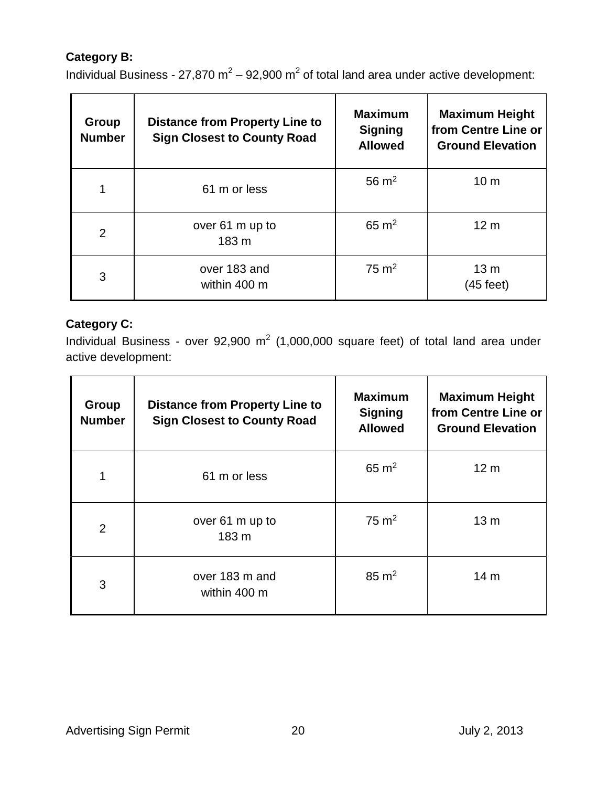### **Category B:**

Individual Business - 27,870 m<sup>2</sup> – 92,900 m<sup>2</sup> of total land area under active development:

| <b>Group</b><br><b>Number</b> | <b>Distance from Property Line to</b><br><b>Sign Closest to County Road</b> | <b>Maximum</b><br><b>Signing</b><br><b>Allowed</b> | <b>Maximum Height</b><br>from Centre Line or<br><b>Ground Elevation</b> |
|-------------------------------|-----------------------------------------------------------------------------|----------------------------------------------------|-------------------------------------------------------------------------|
|                               | 61 m or less                                                                | 56 $m2$                                            | 10 <sub>m</sub>                                                         |
| $\overline{2}$                | over 61 m up to<br>183 m                                                    | $65 \text{ m}^2$                                   | 12 <sub>m</sub>                                                         |
| 3                             | over 183 and<br>within 400 m                                                | $75 \text{ m}^2$                                   | 13 <sub>m</sub><br>(45 feet)                                            |

### **Category C:**

Individual Business - over 92,900  $m^2$  (1,000,000 square feet) of total land area under active development:

| Group<br><b>Number</b> | <b>Distance from Property Line to</b><br><b>Sign Closest to County Road</b> | <b>Maximum</b><br><b>Signing</b><br><b>Allowed</b> | <b>Maximum Height</b><br>from Centre Line or<br><b>Ground Elevation</b> |
|------------------------|-----------------------------------------------------------------------------|----------------------------------------------------|-------------------------------------------------------------------------|
| 1                      | 61 m or less                                                                | $65 \text{ m}^2$                                   | 12 <sub>m</sub>                                                         |
| $\overline{2}$         | over 61 m up to<br>183 m                                                    | $75 \text{ m}^2$                                   | 13 <sub>m</sub>                                                         |
| 3                      | over 183 m and<br>within 400 m                                              | $85 \text{ m}^2$                                   | 14 <sub>m</sub>                                                         |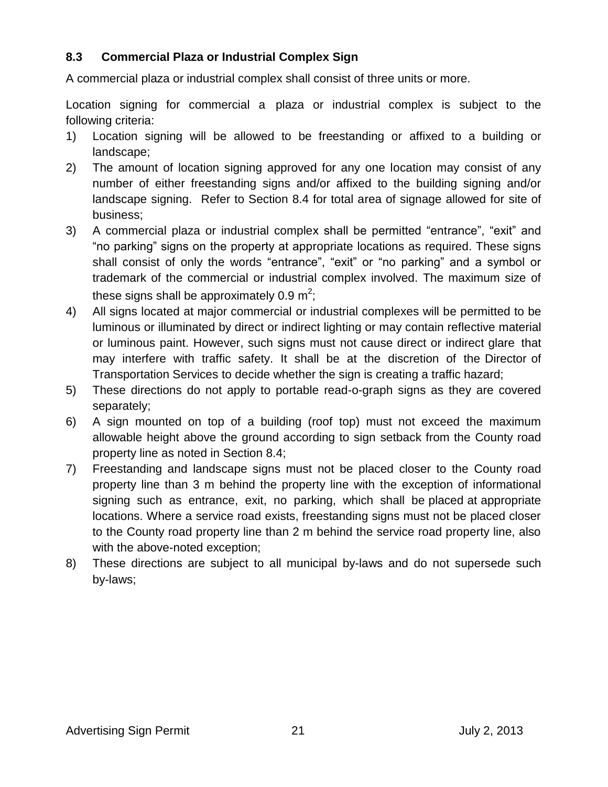### **8.3 Commercial Plaza or Industrial Complex Sign**

A commercial plaza or industrial complex shall consist of three units or more.

Location signing for commercial a plaza or industrial complex is subject to the following criteria:

- 1) Location signing will be allowed to be freestanding or affixed to a building or landscape;
- 2) The amount of location signing approved for any one location may consist of any number of either freestanding signs and/or affixed to the building signing and/or landscape signing. Refer to Section 8.4 for total area of signage allowed for site of business;
- 3) A commercial plaza or industrial complex shall be permitted "entrance", "exit" and "no parking" signs on the property at appropriate locations as required. These signs shall consist of only the words "entrance", "exit" or "no parking" and a symbol or trademark of the commercial or industrial complex involved. The maximum size of these signs shall be approximately 0.9 m<sup>2</sup>;
- 4) All signs located at major commercial or industrial complexes will be permitted to be luminous or illuminated by direct or indirect lighting or may contain reflective material or luminous paint. However, such signs must not cause direct or indirect glare that may interfere with traffic safety. It shall be at the discretion of the Director of Transportation Services to decide whether the sign is creating a traffic hazard;
- 5) These directions do not apply to portable read-o-graph signs as they are covered separately;
- 6) A sign mounted on top of a building (roof top) must not exceed the maximum allowable height above the ground according to sign setback from the County road property line as noted in Section 8.4;
- 7) Freestanding and landscape signs must not be placed closer to the County road property line than 3 m behind the property line with the exception of informational signing such as entrance, exit, no parking, which shall be placed at appropriate locations. Where a service road exists, freestanding signs must not be placed closer to the County road property line than 2 m behind the service road property line, also with the above-noted exception;
- 8) These directions are subject to all municipal by-laws and do not supersede such by-laws;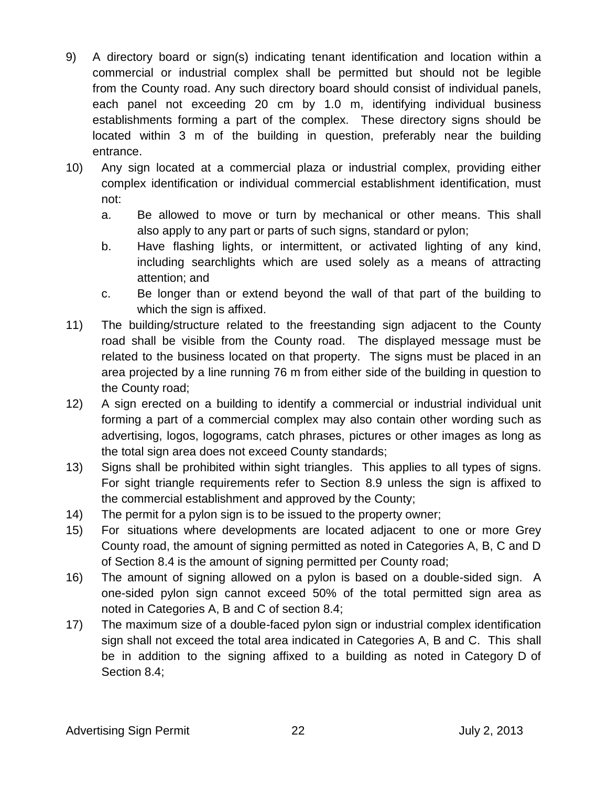- 9) A directory board or sign(s) indicating tenant identification and location within a commercial or industrial complex shall be permitted but should not be legible from the County road. Any such directory board should consist of individual panels, each panel not exceeding 20 cm by 1.0 m, identifying individual business establishments forming a part of the complex. These directory signs should be located within 3 m of the building in question, preferably near the building entrance.
- 10) Any sign located at a commercial plaza or industrial complex, providing either complex identification or individual commercial establishment identification, must not:
	- a. Be allowed to move or turn by mechanical or other means. This shall also apply to any part or parts of such signs, standard or pylon;
	- b. Have flashing lights, or intermittent, or activated lighting of any kind, including searchlights which are used solely as a means of attracting attention; and
	- c. Be longer than or extend beyond the wall of that part of the building to which the sign is affixed.
- 11) The building/structure related to the freestanding sign adjacent to the County road shall be visible from the County road. The displayed message must be related to the business located on that property. The signs must be placed in an area projected by a line running 76 m from either side of the building in question to the County road;
- 12) A sign erected on a building to identify a commercial or industrial individual unit forming a part of a commercial complex may also contain other wording such as advertising, logos, logograms, catch phrases, pictures or other images as long as the total sign area does not exceed County standards;
- 13) Signs shall be prohibited within sight triangles. This applies to all types of signs. For sight triangle requirements refer to Section 8.9 unless the sign is affixed to the commercial establishment and approved by the County;
- 14) The permit for a pylon sign is to be issued to the property owner;
- 15) For situations where developments are located adjacent to one or more Grey County road, the amount of signing permitted as noted in Categories A, B, C and D of Section 8.4 is the amount of signing permitted per County road;
- 16) The amount of signing allowed on a pylon is based on a double-sided sign. A one-sided pylon sign cannot exceed 50% of the total permitted sign area as noted in Categories A, B and C of section 8.4;
- 17) The maximum size of a double-faced pylon sign or industrial complex identification sign shall not exceed the total area indicated in Categories A, B and C. This shall be in addition to the signing affixed to a building as noted in Category D of Section 8.4;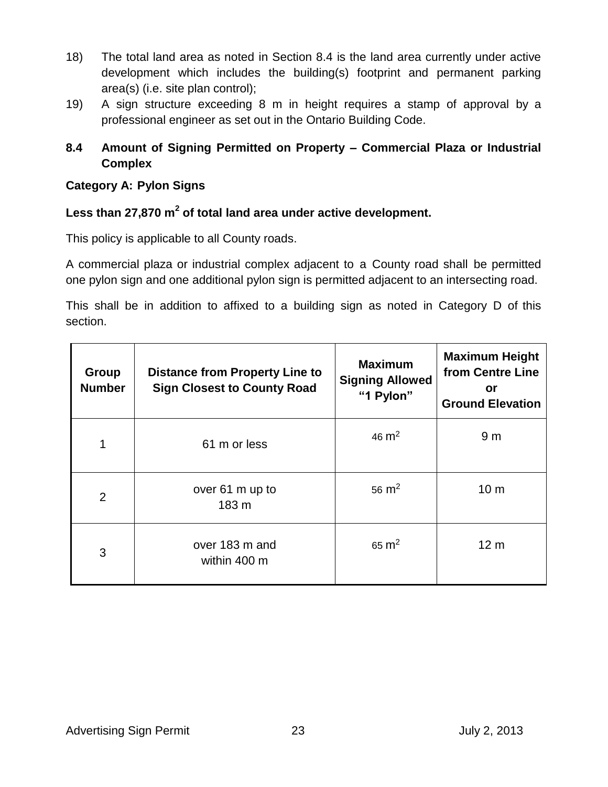- 18) The total land area as noted in Section 8.4 is the land area currently under active development which includes the building(s) footprint and permanent parking area(s) (i.e. site plan control);
- 19) A sign structure exceeding 8 m in height requires a stamp of approval by a professional engineer as set out in the Ontario Building Code.

### **8.4 Amount of Signing Permitted on Property – Commercial Plaza or Industrial Complex**

#### **Category A: Pylon Signs**

### **Less than 27,870 m<sup>2</sup> of total land area under active development.**

This policy is applicable to all County roads.

A commercial plaza or industrial complex adjacent to a County road shall be permitted one pylon sign and one additional pylon sign is permitted adjacent to an intersecting road.

This shall be in addition to affixed to a building sign as noted in Category D of this section.

| <b>Group</b><br><b>Number</b> | <b>Distance from Property Line to</b><br><b>Sign Closest to County Road</b> | <b>Maximum</b><br><b>Signing Allowed</b><br>"1 Pylon" | <b>Maximum Height</b><br>from Centre Line<br>or<br><b>Ground Elevation</b> |
|-------------------------------|-----------------------------------------------------------------------------|-------------------------------------------------------|----------------------------------------------------------------------------|
| 1                             | 61 m or less                                                                | 46 $m2$                                               | 9 <sub>m</sub>                                                             |
| $\overline{2}$                | over 61 m up to<br>183 m                                                    | 56 $m2$                                               | 10 <sub>m</sub>                                                            |
| 3                             | over 183 m and<br>within 400 m                                              | $65 \text{ m}^2$                                      | 12 <sub>m</sub>                                                            |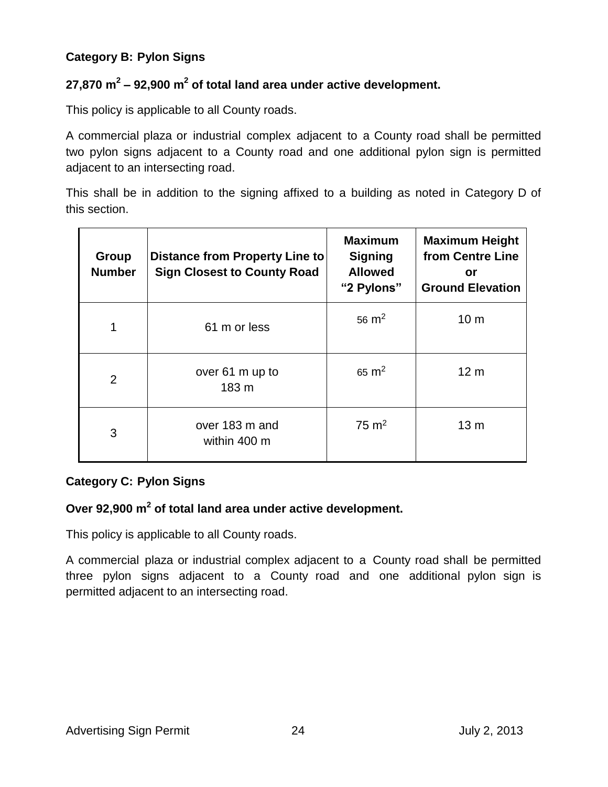### **Category B: Pylon Signs**

### **27,870 m<sup>2</sup> – 92,900 m 2 of total land area under active development.**

This policy is applicable to all County roads.

A commercial plaza or industrial complex adjacent to a County road shall be permitted two pylon signs adjacent to a County road and one additional pylon sign is permitted adjacent to an intersecting road.

This shall be in addition to the signing affixed to a building as noted in Category D of this section.

| <b>Group</b><br><b>Number</b> | Distance from Property Line to<br><b>Sign Closest to County Road</b> | <b>Maximum</b><br><b>Signing</b><br><b>Allowed</b><br>"2 Pylons" | <b>Maximum Height</b><br>from Centre Line<br>or<br><b>Ground Elevation</b> |
|-------------------------------|----------------------------------------------------------------------|------------------------------------------------------------------|----------------------------------------------------------------------------|
| 1                             | 61 m or less                                                         | 56 $m2$                                                          | 10 <sub>m</sub>                                                            |
| $\overline{2}$                | over 61 m up to<br>183 m                                             | $65 \text{ m}^2$                                                 | 12 <sub>m</sub>                                                            |
| 3                             | over 183 m and<br>within 400 m                                       | $75 \text{ m}^2$                                                 | 13 <sub>m</sub>                                                            |

### **Category C: Pylon Signs**

### **Over 92,900 m 2 of total land area under active development.**

This policy is applicable to all County roads.

A commercial plaza or industrial complex adjacent to a County road shall be permitted three pylon signs adjacent to a County road and one additional pylon sign is permitted adjacent to an intersecting road.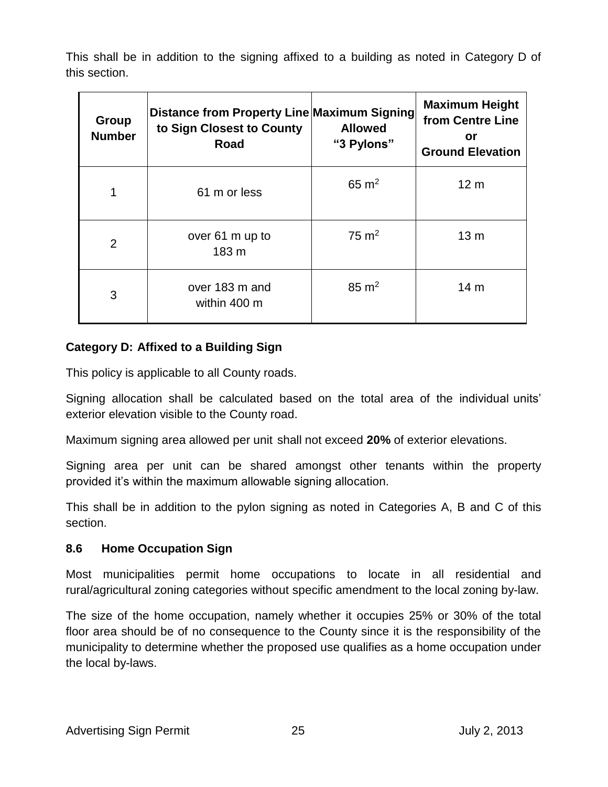This shall be in addition to the signing affixed to a building as noted in Category D of this section.

| <b>Group</b><br><b>Number</b> | Distance from Property Line Maximum Signing<br>to Sign Closest to County<br><b>Road</b> | <b>Allowed</b><br>"3 Pylons" | <b>Maximum Height</b><br>from Centre Line<br>or<br><b>Ground Elevation</b> |
|-------------------------------|-----------------------------------------------------------------------------------------|------------------------------|----------------------------------------------------------------------------|
|                               | 61 m or less                                                                            | $65 \text{ m}^2$             | 12 <sub>m</sub>                                                            |
| 2                             | over 61 m up to<br>183 m                                                                | $75 \text{ m}^2$             | 13 <sub>m</sub>                                                            |
| 3                             | over 183 m and<br>within 400 m                                                          | $85 \text{ m}^2$             | 14 m                                                                       |

### **Category D: Affixed to a Building Sign**

This policy is applicable to all County roads.

Signing allocation shall be calculated based on the total area of the individual units' exterior elevation visible to the County road.

Maximum signing area allowed per unit shall not exceed **20%** of exterior elevations.

Signing area per unit can be shared amongst other tenants within the property provided it's within the maximum allowable signing allocation.

This shall be in addition to the pylon signing as noted in Categories A, B and C of this section.

### **8.6 Home Occupation Sign**

Most municipalities permit home occupations to locate in all residential and rural/agricultural zoning categories without specific amendment to the local zoning by-law.

The size of the home occupation, namely whether it occupies 25% or 30% of the total floor area should be of no consequence to the County since it is the responsibility of the municipality to determine whether the proposed use qualifies as a home occupation under the local by-laws.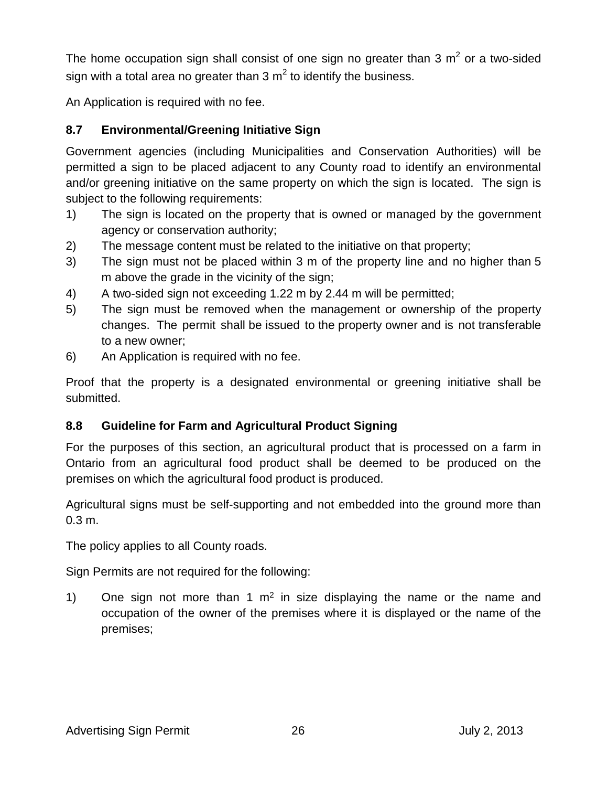The home occupation sign shall consist of one sign no greater than 3  $m^2$  or a two-sided sign with a total area no greater than 3  $m^2$  to identify the business.

An Application is required with no fee.

### **8.7 Environmental/Greening Initiative Sign**

Government agencies (including Municipalities and Conservation Authorities) will be permitted a sign to be placed adjacent to any County road to identify an environmental and/or greening initiative on the same property on which the sign is located. The sign is subject to the following requirements:

- 1) The sign is located on the property that is owned or managed by the government agency or conservation authority;
- 2) The message content must be related to the initiative on that property;
- 3) The sign must not be placed within 3 m of the property line and no higher than 5 m above the grade in the vicinity of the sign;
- 4) A two-sided sign not exceeding 1.22 m by 2.44 m will be permitted;
- 5) The sign must be removed when the management or ownership of the property changes. The permit shall be issued to the property owner and is not transferable to a new owner;
- 6) An Application is required with no fee.

Proof that the property is a designated environmental or greening initiative shall be submitted.

### **8.8 Guideline for Farm and Agricultural Product Signing**

For the purposes of this section, an agricultural product that is processed on a farm in Ontario from an agricultural food product shall be deemed to be produced on the premises on which the agricultural food product is produced.

Agricultural signs must be self-supporting and not embedded into the ground more than 0.3 m.

The policy applies to all County roads.

Sign Permits are not required for the following:

1) One sign not more than 1  $m^2$  in size displaying the name or the name and occupation of the owner of the premises where it is displayed or the name of the premises;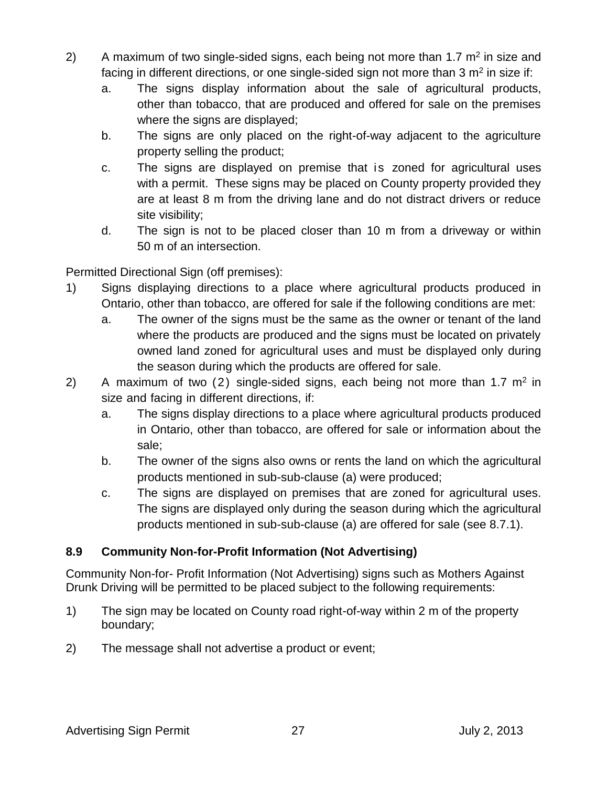- 2) A maximum of two single-sided signs, each being not more than 1.7  $m<sup>2</sup>$  in size and facing in different directions, or one single-sided sign not more than 3  $m<sup>2</sup>$  in size if:
	- a. The signs display information about the sale of agricultural products, other than tobacco, that are produced and offered for sale on the premises where the signs are displayed;
	- b. The signs are only placed on the right-of-way adjacent to the agriculture property selling the product;
	- c. The signs are displayed on premise that is zoned for agricultural uses with a permit. These signs may be placed on County property provided they are at least 8 m from the driving lane and do not distract drivers or reduce site visibility;
	- d. The sign is not to be placed closer than 10 m from a driveway or within 50 m of an intersection.

Permitted Directional Sign (off premises):

- 1) Signs displaying directions to a place where agricultural products produced in Ontario, other than tobacco, are offered for sale if the following conditions are met:
	- a. The owner of the signs must be the same as the owner or tenant of the land where the products are produced and the signs must be located on privately owned land zoned for agricultural uses and must be displayed only during the season during which the products are offered for sale.
- 2) A maximum of two (2) single-sided signs, each being not more than 1.7  $m<sup>2</sup>$  in size and facing in different directions, if:
	- a. The signs display directions to a place where agricultural products produced in Ontario, other than tobacco, are offered for sale or information about the sale;
	- b. The owner of the signs also owns or rents the land on which the agricultural products mentioned in sub-sub-clause (a) were produced;
	- c. The signs are displayed on premises that are zoned for agricultural uses. The signs are displayed only during the season during which the agricultural products mentioned in sub-sub-clause (a) are offered for sale (see 8.7.1).

### **8.9 Community Non-for-Profit Information (Not Advertising)**

Community Non-for- Profit Information (Not Advertising) signs such as Mothers Against Drunk Driving will be permitted to be placed subject to the following requirements:

- 1) The sign may be located on County road right-of-way within 2 m of the property boundary;
- 2) The message shall not advertise a product or event;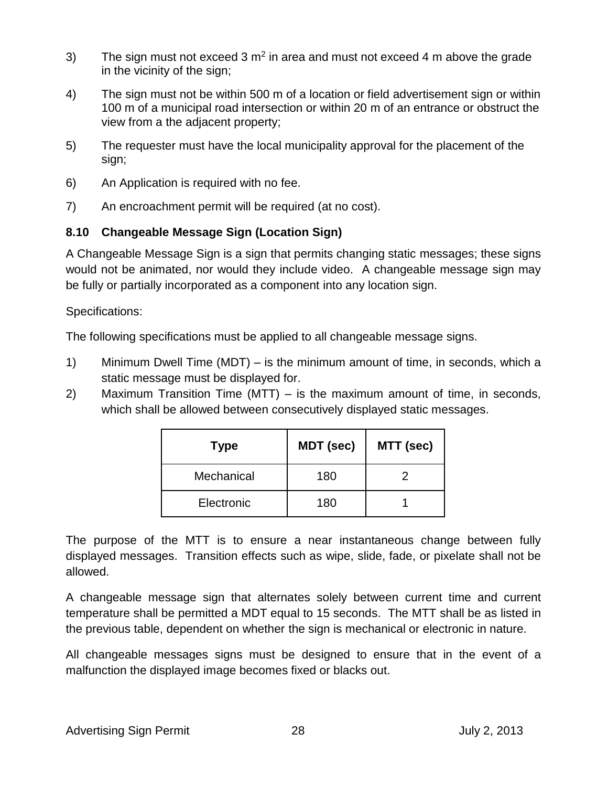- 3) The sign must not exceed 3  $m^2$  in area and must not exceed 4 m above the grade in the vicinity of the sign;
- 4) The sign must not be within 500 m of a location or field advertisement sign or within 100 m of a municipal road intersection or within 20 m of an entrance or obstruct the view from a the adjacent property;
- 5) The requester must have the local municipality approval for the placement of the sign;
- 6) An Application is required with no fee.
- 7) An encroachment permit will be required (at no cost).

### **8.10 Changeable Message Sign (Location Sign)**

A Changeable Message Sign is a sign that permits changing static messages; these signs would not be animated, nor would they include video. A changeable message sign may be fully or partially incorporated as a component into any location sign.

Specifications:

The following specifications must be applied to all changeable message signs.

- 1) Minimum Dwell Time (MDT) is the minimum amount of time, in seconds, which a static message must be displayed for.
- 2) Maximum Transition Time (MTT) is the maximum amount of time, in seconds, which shall be allowed between consecutively displayed static messages.

| <b>Type</b> | <b>MDT</b> (sec) | MTT (sec) |  |  |  |
|-------------|------------------|-----------|--|--|--|
| Mechanical  | 180              |           |  |  |  |
| Electronic  | 180              |           |  |  |  |

The purpose of the MTT is to ensure a near instantaneous change between fully displayed messages. Transition effects such as wipe, slide, fade, or pixelate shall not be allowed.

A changeable message sign that alternates solely between current time and current temperature shall be permitted a MDT equal to 15 seconds. The MTT shall be as listed in the previous table, dependent on whether the sign is mechanical or electronic in nature.

All changeable messages signs must be designed to ensure that in the event of a malfunction the displayed image becomes fixed or blacks out.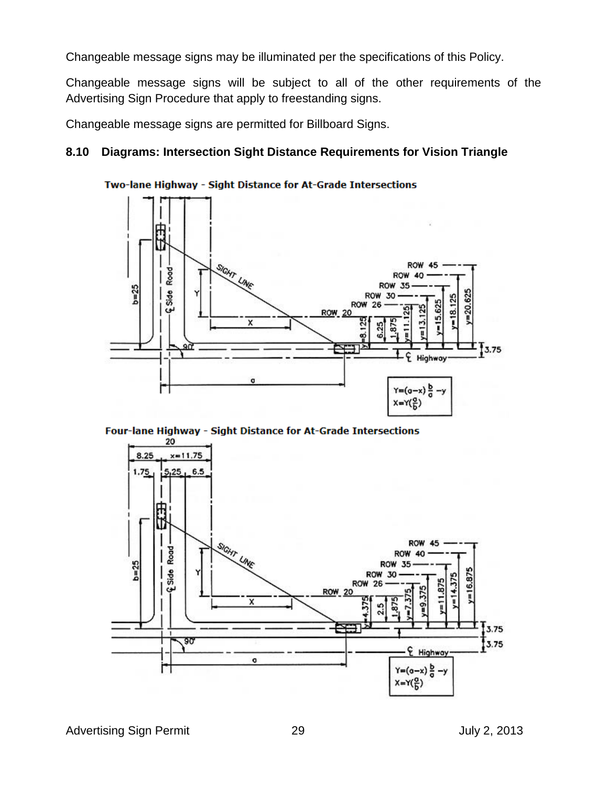Changeable message signs may be illuminated per the specifications of this Policy.

Changeable message signs will be subject to all of the other requirements of the Advertising Sign Procedure that apply to freestanding signs.

Changeable message signs are permitted for Billboard Signs.

### **8.10 Diagrams: Intersection Sight Distance Requirements for Vision Triangle**



Two-lane Highway - Sight Distance for At-Grade Intersections

Four-lane Highway - Sight Distance for At-Grade Intersections



Advertising Sign Permit 29 2013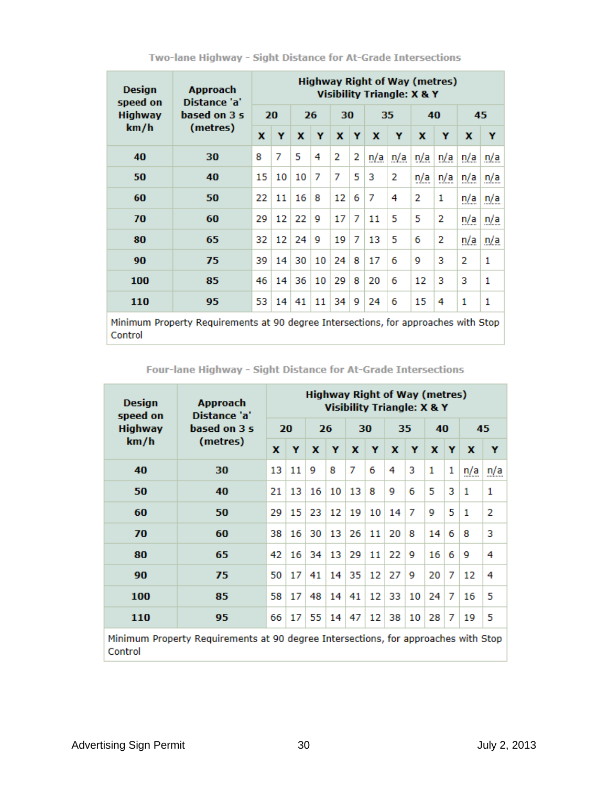| <b>Design</b><br>speed on | <b>Approach</b><br>Distance 'a'                                                    | <b>Highway Right of Way (metres)</b><br>Visibility Triangle: X & Y |    |    |    |             |   |     |     |     |     |             |     |
|---------------------------|------------------------------------------------------------------------------------|--------------------------------------------------------------------|----|----|----|-------------|---|-----|-----|-----|-----|-------------|-----|
| <b>Highway</b>            | based on 3 s                                                                       | 20                                                                 |    | 26 |    | 30          |   | 35  |     | 40  |     | 45          |     |
| km/h                      | (metres)                                                                           | X                                                                  | Y  | x  | Y  | $\mathbf x$ | Y | x   | Y   | X   | Y   | $\mathbf x$ | Y   |
| 40                        | 30                                                                                 | 8                                                                  | 7  | 5  | 4  | 2           | 2 | n/a | n/a | n/a | n/a | n/a         | n/a |
| 50                        | 40                                                                                 | 15                                                                 | 10 | 10 | 7  | 7           | 5 | 3   | 2   | n/a | n/a | n/a         | n/a |
| 60                        | 50                                                                                 | 22                                                                 | 11 | 16 | 8  | 12          | 6 | 7   | 4   | 2   | 1   | n/a         | n/a |
| 70                        | 60                                                                                 | 29                                                                 | 12 | 22 | 9  | 17          | 7 | 11  | 5   | 5   | 2   | n/a         | n/a |
| 80                        | 65                                                                                 | 32                                                                 | 12 | 24 | 9  | 19          | 7 | 13  | 5   | 6   | 2   | n/a         | n/a |
| 90                        | 75                                                                                 | 39                                                                 | 14 | 30 | 10 | 24          | 8 | 17  | 6   | 9   | 3   | 2           | 1   |
| 100                       | 85                                                                                 | 46                                                                 | 14 | 36 | 10 | 29          | 8 | 20  | 6   | 12  | 3   | 3           | 1   |
| 110                       | 95                                                                                 | 53                                                                 | 14 | 41 | 11 | 34          | 9 | 24  | 6   | 15  | 4   | 1           | 1   |
|                           | Minimum Property Requirements at 90 degree Intersections, for approaches with Stop |                                                                    |    |    |    |             |   |     |     |     |     |             |     |

Two-lane Highway - Sight Distance for At-Grade Intersections

Four-lane Highway - Sight Distance for At-Grade Intersections

| Design<br>speed on                                                                            | <b>Approach</b><br>Distance 'a' | <b>Highway Right of Way (metres)</b><br>Visibility Triangle: X & Y |    |    |    |    |    |    |    |    |   |              |     |
|-----------------------------------------------------------------------------------------------|---------------------------------|--------------------------------------------------------------------|----|----|----|----|----|----|----|----|---|--------------|-----|
| <b>Highway</b><br>km/h                                                                        | based on 3 s                    | 20                                                                 |    | 26 |    | 30 |    | 35 |    | 40 |   | 45           |     |
|                                                                                               | (metres)                        | $\mathbf{x}$                                                       | Y  | x  | Y  | x  | Y  | x  | Y  | X  | Y | x            | Y   |
| 40                                                                                            | 30                              | 13                                                                 | 11 | 9  | 8  | 7  | 6  | 4  | 3  | 1  | 1 | n/a          | n/a |
| 50                                                                                            | 40                              | 21                                                                 | 13 | 16 | 10 | 13 | 8  | 9  | 6  | 5  | 3 | 1            | 1   |
| 60                                                                                            | 50                              | 29                                                                 | 15 | 23 | 12 | 19 | 10 | 14 | 7  | 9  | 5 | $\mathbf{1}$ | 2   |
| 70                                                                                            | 60                              | 38                                                                 | 16 | 30 | 13 | 26 | 11 | 20 | 8  | 14 | 6 | 8            | з   |
| 80                                                                                            | 65                              | 42                                                                 | 16 | 34 | 13 | 29 | 11 | 22 | 9  | 16 | 6 | 9            | 4   |
| 90                                                                                            | 75                              | 50                                                                 | 17 | 41 | 14 | 35 | 12 | 27 | 9  | 20 | 7 | 12           | 4   |
| 100                                                                                           | 85                              | 58                                                                 | 17 | 48 | 14 | 41 | 12 | 33 | 10 | 24 | 7 | 16           | 5   |
| 110                                                                                           | 95                              | 66                                                                 | 17 | 55 | 14 | 47 | 12 | 38 | 10 | 28 | 7 | 19           | 5   |
| Minimum Property Requirements at 90 degree Intersections, for approaches with Stop<br>Control |                                 |                                                                    |    |    |    |    |    |    |    |    |   |              |     |

Control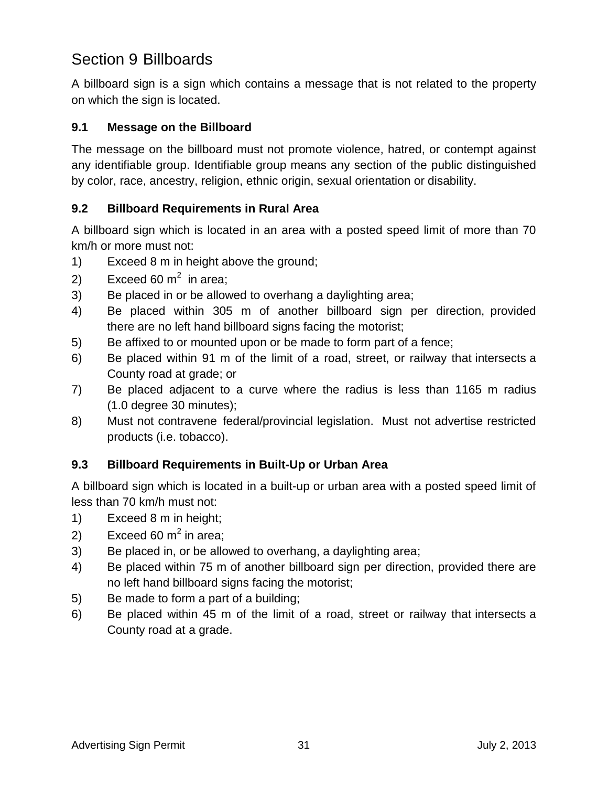# Section 9 Billboards

A billboard sign is a sign which contains a message that is not related to the property on which the sign is located.

### **9.1 Message on the Billboard**

The message on the billboard must not promote violence, hatred, or contempt against any identifiable group. Identifiable group means any section of the public distinguished by color, race, ancestry, religion, ethnic origin, sexual orientation or disability.

### **9.2 Billboard Requirements in Rural Area**

A billboard sign which is located in an area with a posted speed limit of more than 70 km/h or more must not:

- 1) Exceed 8 m in height above the ground;
- 2) Exceed 60 m<sup>2</sup> in area;
- 3) Be placed in or be allowed to overhang a daylighting area;
- 4) Be placed within 305 m of another billboard sign per direction, provided there are no left hand billboard signs facing the motorist;
- 5) Be affixed to or mounted upon or be made to form part of a fence;
- 6) Be placed within 91 m of the limit of a road, street, or railway that intersects a County road at grade; or
- 7) Be placed adjacent to a curve where the radius is less than 1165 m radius (1.0 degree 30 minutes);
- 8) Must not contravene federal/provincial legislation. Must not advertise restricted products (i.e. tobacco).

### **9.3 Billboard Requirements in Built-Up or Urban Area**

A billboard sign which is located in a built-up or urban area with a posted speed limit of less than 70 km/h must not:

- 1) Exceed 8 m in height;
- 2) Exceed 60  $m^2$  in area;
- 3) Be placed in, or be allowed to overhang, a daylighting area;
- 4) Be placed within 75 m of another billboard sign per direction, provided there are no left hand billboard signs facing the motorist;
- 5) Be made to form a part of a building;
- 6) Be placed within 45 m of the limit of a road, street or railway that intersects a County road at a grade.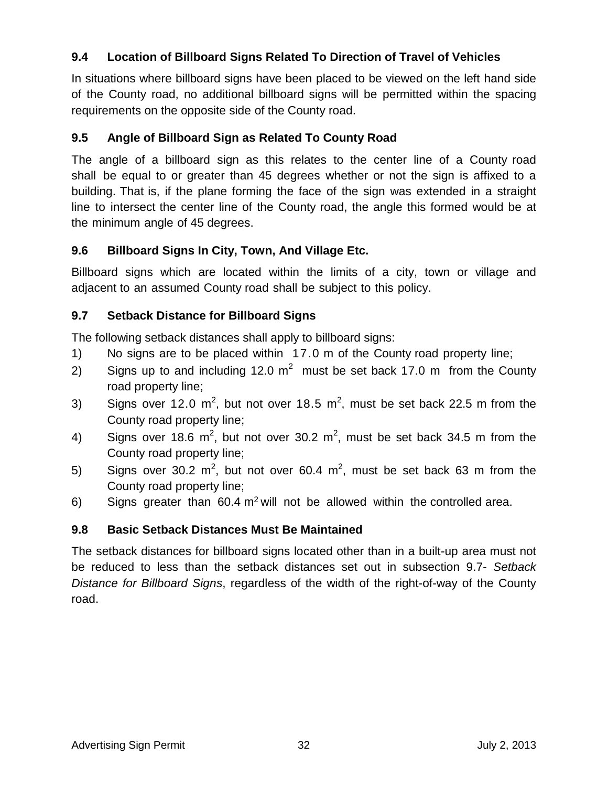### **9.4 Location of Billboard Signs Related To Direction of Travel of Vehicles**

In situations where billboard signs have been placed to be viewed on the left hand side of the County road, no additional billboard signs will be permitted within the spacing requirements on the opposite side of the County road.

### **9.5 Angle of Billboard Sign as Related To County Road**

The angle of a billboard sign as this relates to the center line of a County road shall be equal to or greater than 45 degrees whether or not the sign is affixed to a building. That is, if the plane forming the face of the sign was extended in a straight line to intersect the center line of the County road, the angle this formed would be at the minimum angle of 45 degrees.

### **9.6 Billboard Signs In City, Town, And Village Etc.**

Billboard signs which are located within the limits of a city, town or village and adjacent to an assumed County road shall be subject to this policy.

### **9.7 Setback Distance for Billboard Signs**

The following setback distances shall apply to billboard signs:

- 1) No signs are to be placed within 17.0 m of the County road property line;
- 2) Signs up to and including 12.0 m<sup>2</sup> must be set back 17.0 m from the County road property line;
- 3) Signs over 12.0 m<sup>2</sup>, but not over 18.5 m<sup>2</sup>, must be set back 22.5 m from the County road property line;
- 4) Signs over 18.6 m<sup>2</sup>, but not over 30.2 m<sup>2</sup>, must be set back 34.5 m from the County road property line;
- 5) Signs over 30.2 m<sup>2</sup>, but not over 60.4 m<sup>2</sup>, must be set back 63 m from the County road property line;
- 6) Signs greater than  $60.4 \text{ m}^2$  will not be allowed within the controlled area.

### **9.8 Basic Setback Distances Must Be Maintained**

The setback distances for billboard signs located other than in a built-up area must not be reduced to less than the setback distances set out in subsection 9.7- *Setback Distance for Billboard Signs*, regardless of the width of the right-of-way of the County road.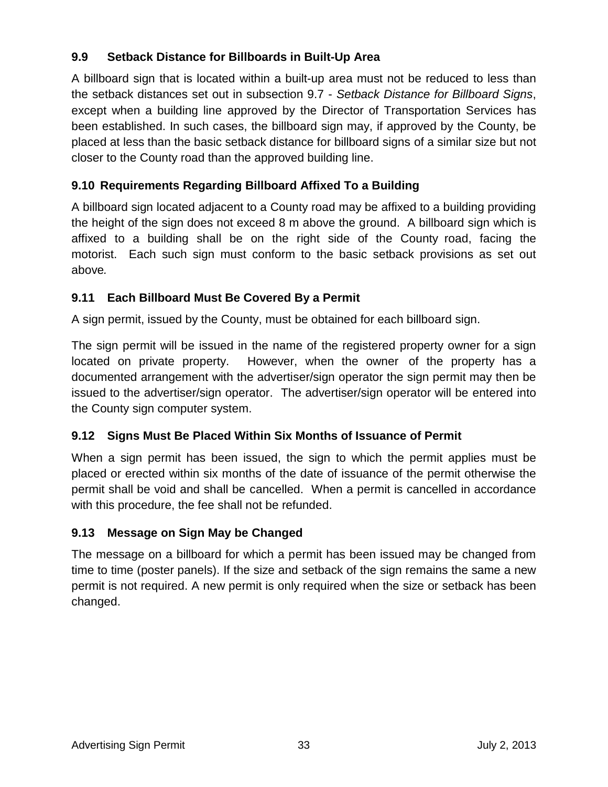### **9.9 Setback Distance for Billboards in Built-Up Area**

A billboard sign that is located within a built-up area must not be reduced to less than the setback distances set out in subsection 9.7 - *Setback Distance for Billboard Signs*, except when a building line approved by the Director of Transportation Services has been established. In such cases, the billboard sign may, if approved by the County, be placed at less than the basic setback distance for billboard signs of a similar size but not closer to the County road than the approved building line.

### **9.10 Requirements Regarding Billboard Affixed To a Building**

A billboard sign located adjacent to a County road may be affixed to a building providing the height of the sign does not exceed 8 m above the ground. A billboard sign which is affixed to a building shall be on the right side of the County road, facing the motorist. Each such sign must conform to the basic setback provisions as set out above*.*

### **9.11 Each Billboard Must Be Covered By a Permit**

A sign permit, issued by the County, must be obtained for each billboard sign.

The sign permit will be issued in the name of the registered property owner for a sign located on private property. However, when the owner of the property has a documented arrangement with the advertiser/sign operator the sign permit may then be issued to the advertiser/sign operator. The advertiser/sign operator will be entered into the County sign computer system.

### **9.12 Signs Must Be Placed Within Six Months of Issuance of Permit**

When a sign permit has been issued, the sign to which the permit applies must be placed or erected within six months of the date of issuance of the permit otherwise the permit shall be void and shall be cancelled. When a permit is cancelled in accordance with this procedure, the fee shall not be refunded.

### **9.13 Message on Sign May be Changed**

The message on a billboard for which a permit has been issued may be changed from time to time (poster panels). If the size and setback of the sign remains the same a new permit is not required. A new permit is only required when the size or setback has been changed.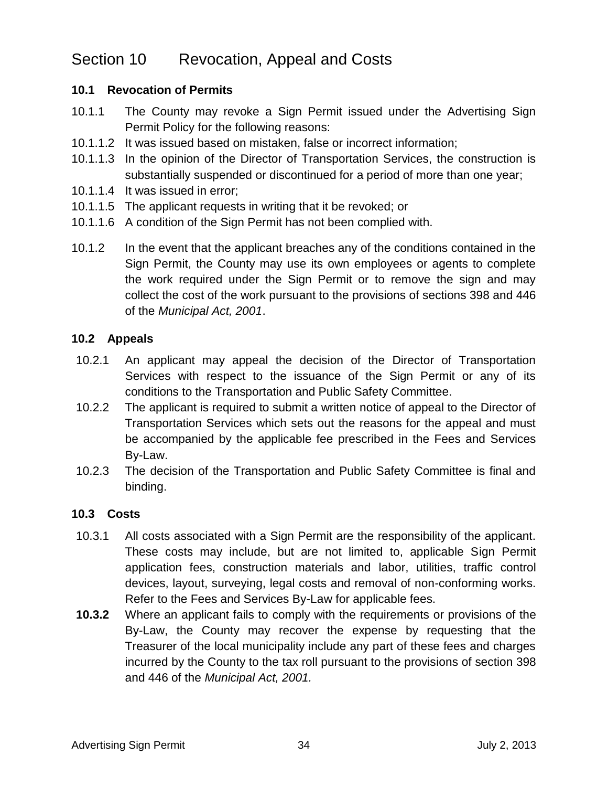### Section 10 Revocation, Appeal and Costs

### **10.1 Revocation of Permits**

- 10.1.1 The County may revoke a Sign Permit issued under the Advertising Sign Permit Policy for the following reasons:
- 10.1.1.2 It was issued based on mistaken, false or incorrect information;
- 10.1.1.3 In the opinion of the Director of Transportation Services, the construction is substantially suspended or discontinued for a period of more than one year;
- 10.1.1.4 It was issued in error;
- 10.1.1.5 The applicant requests in writing that it be revoked; or
- 10.1.1.6 A condition of the Sign Permit has not been complied with.
- 10.1.2 In the event that the applicant breaches any of the conditions contained in the Sign Permit, the County may use its own employees or agents to complete the work required under the Sign Permit or to remove the sign and may collect the cost of the work pursuant to the provisions of sections 398 and 446 of the *Municipal Act, 2001*.

### **10.2 Appeals**

- 10.2.1 An applicant may appeal the decision of the Director of Transportation Services with respect to the issuance of the Sign Permit or any of its conditions to the Transportation and Public Safety Committee.
- 10.2.2 The applicant is required to submit a written notice of appeal to the Director of Transportation Services which sets out the reasons for the appeal and must be accompanied by the applicable fee prescribed in the Fees and Services By-Law.
- 10.2.3 The decision of the Transportation and Public Safety Committee is final and binding.

### **10.3 Costs**

- 10.3.1 All costs associated with a Sign Permit are the responsibility of the applicant. These costs may include, but are not limited to, applicable Sign Permit application fees, construction materials and labor, utilities, traffic control devices, layout, surveying, legal costs and removal of non-conforming works. Refer to the Fees and Services By-Law for applicable fees.
- **10.3.2** Where an applicant fails to comply with the requirements or provisions of the By-Law, the County may recover the expense by requesting that the Treasurer of the local municipality include any part of these fees and charges incurred by the County to the tax roll pursuant to the provisions of section 398 and 446 of the *Municipal Act, 2001.*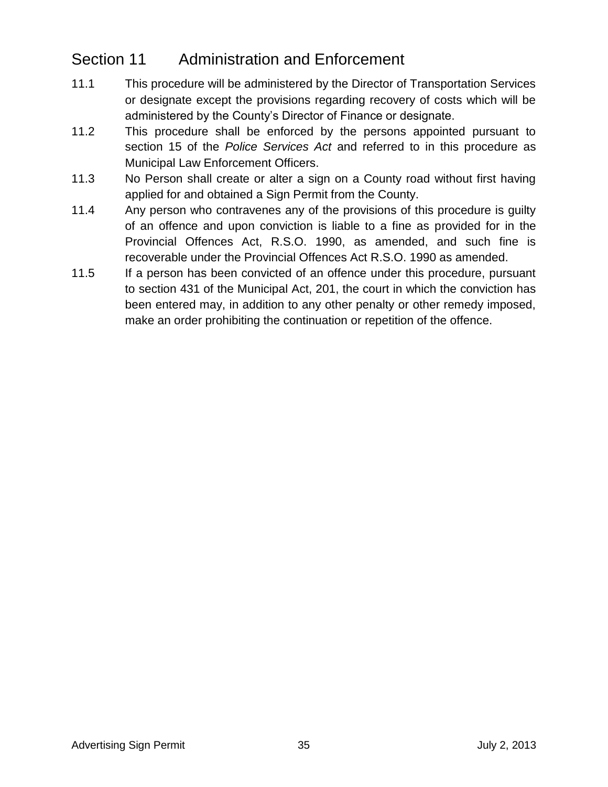# Section 11 Administration and Enforcement

- 11.1 This procedure will be administered by the Director of Transportation Services or designate except the provisions regarding recovery of costs which will be administered by the County's Director of Finance or designate.
- 11.2 This procedure shall be enforced by the persons appointed pursuant to section 15 of the *Police Services Act* and referred to in this procedure as Municipal Law Enforcement Officers.
- 11.3 No Person shall create or alter a sign on a County road without first having applied for and obtained a Sign Permit from the County.
- 11.4 Any person who contravenes any of the provisions of this procedure is guilty of an offence and upon conviction is liable to a fine as provided for in the Provincial Offences Act, R.S.O. 1990, as amended, and such fine is recoverable under the Provincial Offences Act R.S.O. 1990 as amended.
- 11.5 If a person has been convicted of an offence under this procedure, pursuant to section 431 of the Municipal Act, 201, the court in which the conviction has been entered may, in addition to any other penalty or other remedy imposed, make an order prohibiting the continuation or repetition of the offence.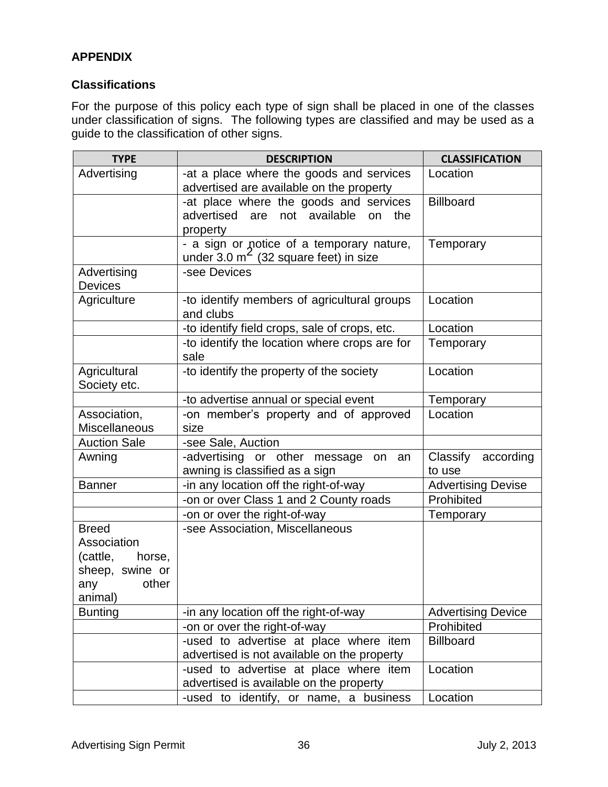### **APPENDIX**

#### **Classifications**

For the purpose of this policy each type of sign shall be placed in one of the classes under classification of signs. The following types are classified and may be used as a guide to the classification of other signs.

| <b>TYPE</b>                                                                                     | <b>DESCRIPTION</b>                                                                              | <b>CLASSIFICATION</b>           |
|-------------------------------------------------------------------------------------------------|-------------------------------------------------------------------------------------------------|---------------------------------|
| Advertising                                                                                     | -at a place where the goods and services<br>advertised are available on the property            | Location                        |
|                                                                                                 | -at place where the goods and services<br>advertised are not available<br>the<br>on<br>property | <b>Billboard</b>                |
|                                                                                                 | - a sign or notice of a temporary nature,<br>under $3.0 \text{ m}^2$ (32 square feet) in size   | Temporary                       |
| Advertising<br><b>Devices</b>                                                                   | -see Devices                                                                                    |                                 |
| Agriculture                                                                                     | -to identify members of agricultural groups<br>and clubs                                        | Location                        |
|                                                                                                 | -to identify field crops, sale of crops, etc.                                                   | Location                        |
|                                                                                                 | -to identify the location where crops are for<br>sale                                           | Temporary                       |
| Agricultural<br>Society etc.                                                                    | -to identify the property of the society                                                        | Location                        |
|                                                                                                 | -to advertise annual or special event                                                           | Temporary                       |
| Association,<br><b>Miscellaneous</b>                                                            | -on member's property and of approved<br>size                                                   | Location                        |
| <b>Auction Sale</b>                                                                             | -see Sale, Auction                                                                              |                                 |
| Awning                                                                                          | -advertising or other message<br>on an<br>awning is classified as a sign                        | Classify<br>according<br>to use |
| <b>Banner</b>                                                                                   | -in any location off the right-of-way                                                           | <b>Advertising Devise</b>       |
|                                                                                                 | -on or over Class 1 and 2 County roads                                                          | Prohibited                      |
|                                                                                                 | -on or over the right-of-way                                                                    | Temporary                       |
| <b>Breed</b><br>Association<br>(cattle,<br>horse,<br>sheep, swine or<br>other<br>any<br>animal) | -see Association, Miscellaneous                                                                 |                                 |
| <b>Bunting</b>                                                                                  | -in any location off the right-of-way                                                           | <b>Advertising Device</b>       |
|                                                                                                 | -on or over the right-of-way                                                                    | Prohibited                      |
|                                                                                                 | -used to advertise at place where item<br>advertised is not available on the property           | <b>Billboard</b>                |
|                                                                                                 | -used to advertise at place where item<br>advertised is available on the property               | Location                        |
|                                                                                                 | -used to identify, or name, a business                                                          | Location                        |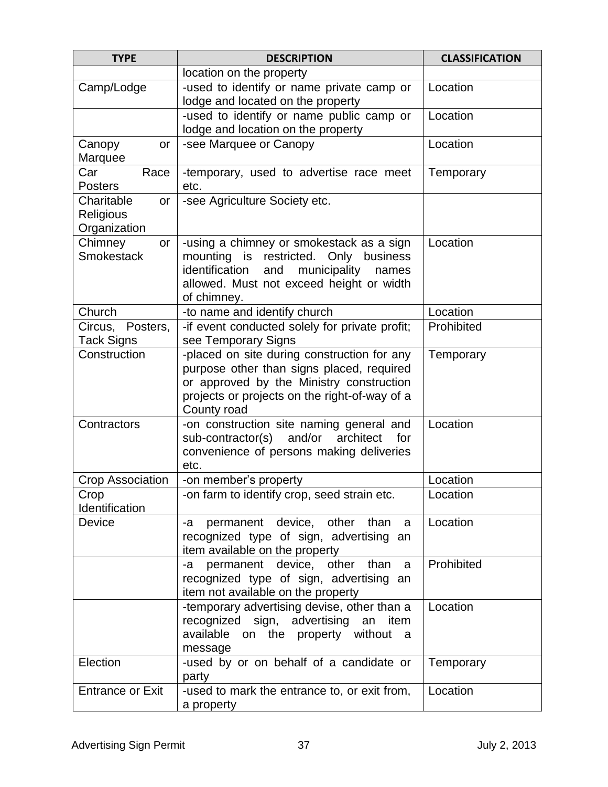| <b>TYPE</b>                                   | <b>DESCRIPTION</b>                                                                                                                                                                                   | <b>CLASSIFICATION</b> |
|-----------------------------------------------|------------------------------------------------------------------------------------------------------------------------------------------------------------------------------------------------------|-----------------------|
|                                               | location on the property                                                                                                                                                                             |                       |
| Camp/Lodge                                    | -used to identify or name private camp or<br>lodge and located on the property                                                                                                                       | Location              |
|                                               | -used to identify or name public camp or<br>lodge and location on the property                                                                                                                       | Location              |
| Canopy<br>or<br>Marquee                       | -see Marquee or Canopy                                                                                                                                                                               | Location              |
| Car<br>Race<br><b>Posters</b>                 | -temporary, used to advertise race meet<br>etc.                                                                                                                                                      | Temporary             |
| Charitable<br>or<br>Religious<br>Organization | -see Agriculture Society etc.                                                                                                                                                                        |                       |
| Chimney<br>or<br><b>Smokestack</b>            | Location                                                                                                                                                                                             |                       |
| Church                                        | -to name and identify church                                                                                                                                                                         | Location              |
| Circus,<br>Posters,<br><b>Tack Signs</b>      | -if event conducted solely for private profit;<br>see Temporary Signs                                                                                                                                | Prohibited            |
| Construction                                  | -placed on site during construction for any<br>purpose other than signs placed, required<br>or approved by the Ministry construction<br>projects or projects on the right-of-way of a<br>County road | Temporary             |
| Contractors                                   | -on construction site naming general and<br>sub-contractor(s) and/or<br>architect<br>for<br>convenience of persons making deliveries<br>etc.                                                         | Location              |
| <b>Crop Association</b>                       | -on member's property                                                                                                                                                                                | Location              |
| Crop<br>Identification                        | -on farm to identify crop, seed strain etc.                                                                                                                                                          | Location              |
| Device                                        | permanent device, other<br>than<br>-a<br>a<br>recognized type of sign, advertising an<br>item available on the property                                                                              | Location              |
|                                               | -a permanent device, other<br>than<br>a<br>recognized type of sign, advertising an<br>item not available on the property                                                                             | Prohibited            |
|                                               | -temporary advertising devise, other than a<br>recognized sign, advertising an item<br>available on the property without<br>- a<br>message                                                           | Location              |
| Election                                      | -used by or on behalf of a candidate or<br>party                                                                                                                                                     | Temporary             |
| <b>Entrance or Exit</b>                       | -used to mark the entrance to, or exit from,<br>a property                                                                                                                                           | Location              |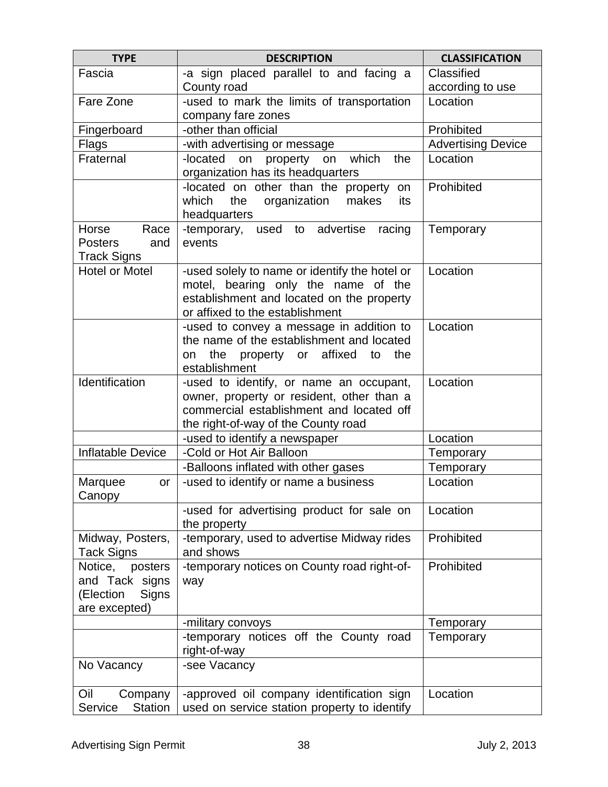| <b>TYPE</b>                                                                 | <b>DESCRIPTION</b>                                                                                                                                                      | <b>CLASSIFICATION</b>     |
|-----------------------------------------------------------------------------|-------------------------------------------------------------------------------------------------------------------------------------------------------------------------|---------------------------|
| Fascia                                                                      | -a sign placed parallel to and facing a                                                                                                                                 | Classified                |
|                                                                             | County road                                                                                                                                                             | according to use          |
| Fare Zone                                                                   | -used to mark the limits of transportation<br>company fare zones                                                                                                        | Location                  |
| Fingerboard                                                                 | -other than official                                                                                                                                                    | Prohibited                |
| Flags                                                                       | -with advertising or message                                                                                                                                            | <b>Advertising Device</b> |
| Fraternal                                                                   | -located<br>which<br>on<br>property on<br>the<br>organization has its headquarters                                                                                      | Location                  |
|                                                                             | -located on other than the property<br>on<br>which<br>the<br>organization<br>makes<br>its<br>headquarters                                                               | Prohibited                |
| Horse<br>Race<br><b>Posters</b><br>and<br><b>Track Signs</b>                | -temporary, used to advertise<br>racing<br>events                                                                                                                       | Temporary                 |
| <b>Hotel or Motel</b>                                                       | -used solely to name or identify the hotel or<br>motel, bearing only the name of the<br>establishment and located on the property<br>or affixed to the establishment    | Location                  |
|                                                                             | -used to convey a message in addition to<br>the name of the establishment and located<br>the<br>property or affixed<br>the<br>to<br>on<br>establishment                 | Location                  |
| Identification                                                              | -used to identify, or name an occupant,<br>owner, property or resident, other than a<br>commercial establishment and located off<br>the right-of-way of the County road | Location                  |
|                                                                             | -used to identify a newspaper                                                                                                                                           | Location                  |
| Inflatable Device                                                           | -Cold or Hot Air Balloon                                                                                                                                                | Temporary                 |
|                                                                             | -Balloons inflated with other gases                                                                                                                                     | Temporary                 |
| Marquee<br>or<br>Canopy                                                     | -used to identify or name a business                                                                                                                                    | Location                  |
|                                                                             | -used for advertising product for sale on<br>the property                                                                                                               | Location                  |
| Midway, Posters,<br><b>Tack Signs</b>                                       | -temporary, used to advertise Midway rides<br>and shows                                                                                                                 | Prohibited                |
| Notice,<br>posters<br>and Tack signs<br>(Election<br>Signs<br>are excepted) | -temporary notices on County road right-of-<br>way                                                                                                                      | Prohibited                |
|                                                                             | -military convoys                                                                                                                                                       | Temporary                 |
|                                                                             | -temporary notices off the County road<br>right-of-way                                                                                                                  | Temporary                 |
| No Vacancy                                                                  | -see Vacancy                                                                                                                                                            |                           |
| Oil<br>Company<br>Service<br><b>Station</b>                                 | -approved oil company identification sign<br>used on service station property to identify                                                                               | Location                  |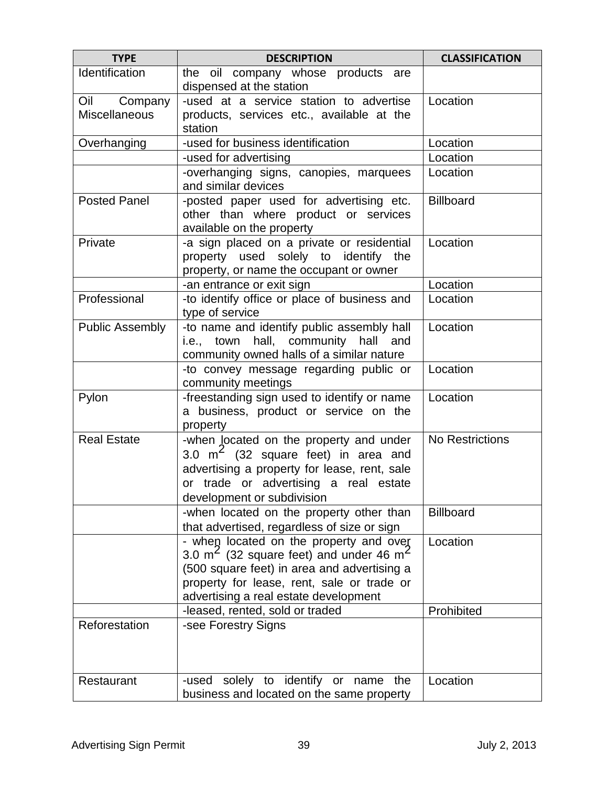| <b>TYPE</b>            | <b>DESCRIPTION</b>                                                                                                                                                                                                                     | <b>CLASSIFICATION</b> |
|------------------------|----------------------------------------------------------------------------------------------------------------------------------------------------------------------------------------------------------------------------------------|-----------------------|
| Identification         | the oil company whose products are                                                                                                                                                                                                     |                       |
|                        | dispensed at the station                                                                                                                                                                                                               |                       |
| Oil<br>Company         | -used at a service station to advertise                                                                                                                                                                                                | Location              |
| <b>Miscellaneous</b>   | products, services etc., available at the<br>station                                                                                                                                                                                   |                       |
| Overhanging            | -used for business identification                                                                                                                                                                                                      | Location              |
|                        | -used for advertising                                                                                                                                                                                                                  | Location              |
|                        | -overhanging signs, canopies, marquees<br>and similar devices                                                                                                                                                                          | Location              |
| <b>Posted Panel</b>    | -posted paper used for advertising etc.<br>other than where product or services<br>available on the property                                                                                                                           | <b>Billboard</b>      |
| Private                | -a sign placed on a private or residential<br>property used solely to identify the<br>property, or name the occupant or owner                                                                                                          | Location              |
|                        | -an entrance or exit sign                                                                                                                                                                                                              | Location              |
| Professional           | -to identify office or place of business and<br>type of service                                                                                                                                                                        | Location              |
| <b>Public Assembly</b> | -to name and identify public assembly hall<br>i.e., town hall, community<br>hall and<br>community owned halls of a similar nature                                                                                                      | Location              |
|                        | -to convey message regarding public or<br>community meetings                                                                                                                                                                           | Location              |
| Pylon                  | -freestanding sign used to identify or name<br>a business, product or service on the<br>property                                                                                                                                       | Location              |
| <b>Real Estate</b>     | -when located on the property and under<br>3.0 $m^2$ (32 square feet) in area and<br>advertising a property for lease, rent, sale<br>or trade or advertising a real estate<br>development or subdivision                               | No Restrictions       |
|                        | -when located on the property other than<br>that advertised, regardless of size or sign                                                                                                                                                | <b>Billboard</b>      |
|                        | - when located on the property and over<br>3.0 $m2$ (32 square feet) and under 46 m <sup>2</sup><br>(500 square feet) in area and advertising a<br>property for lease, rent, sale or trade or<br>advertising a real estate development | Location              |
|                        | -leased, rented, sold or traded                                                                                                                                                                                                        | Prohibited            |
| Reforestation          | -see Forestry Signs                                                                                                                                                                                                                    |                       |
| Restaurant             | -used solely to identify or name<br>the<br>business and located on the same property                                                                                                                                                   | Location              |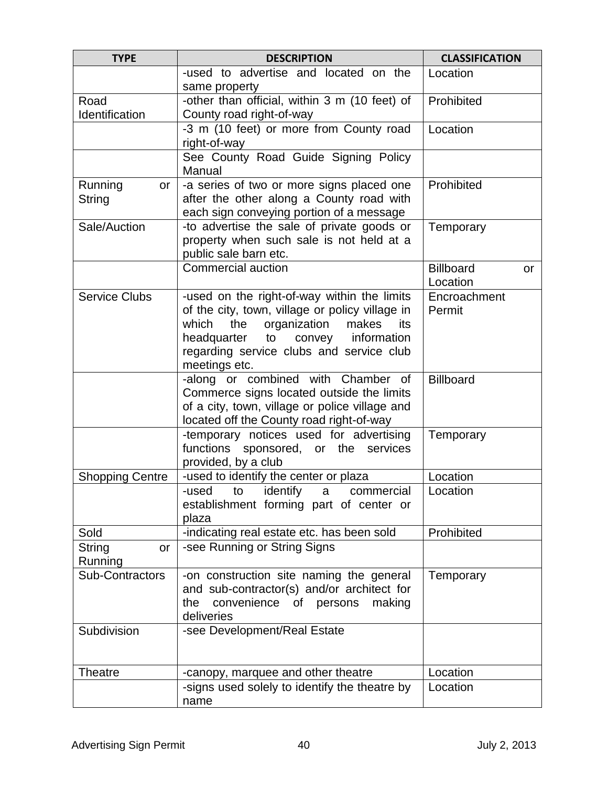| <b>TYPE</b>                    | <b>DESCRIPTION</b>                                                                                                                                                                                                                                        | <b>CLASSIFICATION</b>              |
|--------------------------------|-----------------------------------------------------------------------------------------------------------------------------------------------------------------------------------------------------------------------------------------------------------|------------------------------------|
|                                | -used to advertise and located on the<br>same property                                                                                                                                                                                                    | Location                           |
| Road<br>Identification         | -other than official, within 3 m (10 feet) of<br>County road right-of-way                                                                                                                                                                                 | Prohibited                         |
|                                | -3 m (10 feet) or more from County road<br>right-of-way                                                                                                                                                                                                   | Location                           |
|                                | See County Road Guide Signing Policy<br>Manual                                                                                                                                                                                                            |                                    |
| Running<br>or<br><b>String</b> | -a series of two or more signs placed one<br>after the other along a County road with<br>each sign conveying portion of a message                                                                                                                         | Prohibited                         |
| Sale/Auction                   | -to advertise the sale of private goods or<br>property when such sale is not held at a<br>public sale barn etc.                                                                                                                                           | Temporary                          |
|                                | <b>Commercial auction</b>                                                                                                                                                                                                                                 | <b>Billboard</b><br>or<br>Location |
| <b>Service Clubs</b>           | -used on the right-of-way within the limits<br>of the city, town, village or policy village in<br>organization<br>the<br>which<br>makes<br>its<br>headquarter<br>to<br>convey<br>information<br>regarding service clubs and service club<br>meetings etc. | Encroachment<br>Permit             |
|                                | -along or combined with Chamber of<br>Commerce signs located outside the limits<br>of a city, town, village or police village and<br>located off the County road right-of-way                                                                             | <b>Billboard</b>                   |
|                                | -temporary notices used for advertising<br>functions sponsored, or the services<br>provided, by a club                                                                                                                                                    | Temporary                          |
| <b>Shopping Centre</b>         | -used to identify the center or plaza                                                                                                                                                                                                                     | Location                           |
|                                | identify<br>-used<br>to<br>commercial<br>a<br>establishment forming part of center or<br>plaza                                                                                                                                                            | Location                           |
| Sold                           | -indicating real estate etc. has been sold                                                                                                                                                                                                                | Prohibited                         |
| <b>String</b><br>or<br>Running | -see Running or String Signs                                                                                                                                                                                                                              |                                    |
| Sub-Contractors                | -on construction site naming the general<br>and sub-contractor(s) and/or architect for<br>convenience of persons<br>making<br>the<br>deliveries                                                                                                           | Temporary                          |
| Subdivision                    | -see Development/Real Estate                                                                                                                                                                                                                              |                                    |
| <b>Theatre</b>                 | -canopy, marquee and other theatre                                                                                                                                                                                                                        | Location                           |
|                                | -signs used solely to identify the theatre by<br>name                                                                                                                                                                                                     | Location                           |